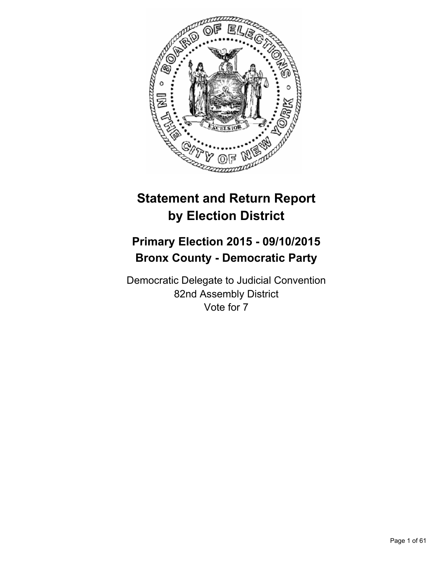

# **Statement and Return Report by Election District**

# **Primary Election 2015 - 09/10/2015 Bronx County - Democratic Party**

Democratic Delegate to Judicial Convention 82nd Assembly District Vote for 7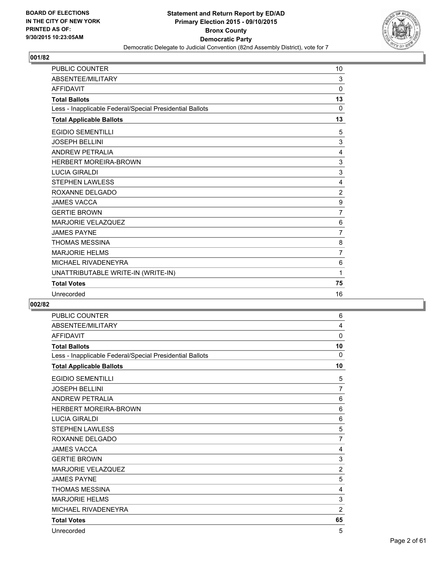

| <b>PUBLIC COUNTER</b>                                    | 10             |
|----------------------------------------------------------|----------------|
| ABSENTEE/MILITARY                                        | 3              |
| <b>AFFIDAVIT</b>                                         | $\mathbf 0$    |
| <b>Total Ballots</b>                                     | 13             |
| Less - Inapplicable Federal/Special Presidential Ballots | $\mathbf{0}$   |
| <b>Total Applicable Ballots</b>                          | 13             |
| <b>EGIDIO SEMENTILLI</b>                                 | 5              |
| <b>JOSEPH BELLINI</b>                                    | 3              |
| <b>ANDREW PETRALIA</b>                                   | $\overline{4}$ |
| HERBERT MOREIRA-BROWN                                    | $\mathsf 3$    |
| <b>LUCIA GIRALDI</b>                                     | 3              |
| <b>STEPHEN LAWLESS</b>                                   | 4              |
| ROXANNE DELGADO                                          | $\overline{2}$ |
| <b>JAMES VACCA</b>                                       | 9              |
| <b>GERTIE BROWN</b>                                      | 7              |
| <b>MARJORIE VELAZQUEZ</b>                                | 6              |
| <b>JAMES PAYNE</b>                                       | $\overline{7}$ |
| <b>THOMAS MESSINA</b>                                    | 8              |
| <b>MARJORIE HELMS</b>                                    | $\overline{7}$ |
| MICHAEL RIVADENEYRA                                      | 6              |
| UNATTRIBUTABLE WRITE-IN (WRITE-IN)                       | 1              |
| <b>Total Votes</b>                                       | 75             |
| Unrecorded                                               | 16             |

| <b>PUBLIC COUNTER</b>                                    | 6              |
|----------------------------------------------------------|----------------|
| ABSENTEE/MILITARY                                        | 4              |
| <b>AFFIDAVIT</b>                                         | 0              |
| <b>Total Ballots</b>                                     | 10             |
| Less - Inapplicable Federal/Special Presidential Ballots | 0              |
| <b>Total Applicable Ballots</b>                          | 10             |
| <b>EGIDIO SEMENTILLI</b>                                 | 5              |
| <b>JOSEPH BELLINI</b>                                    | $\overline{7}$ |
| <b>ANDREW PETRALIA</b>                                   | 6              |
| <b>HERBERT MOREIRA-BROWN</b>                             | 6              |
| <b>LUCIA GIRALDI</b>                                     | 6              |
| <b>STEPHEN LAWLESS</b>                                   | 5              |
| ROXANNE DELGADO                                          | $\overline{7}$ |
| <b>JAMES VACCA</b>                                       | 4              |
| <b>GERTIE BROWN</b>                                      | 3              |
| <b>MARJORIE VELAZQUEZ</b>                                | $\overline{2}$ |
| <b>JAMES PAYNE</b>                                       | 5              |
| <b>THOMAS MESSINA</b>                                    | 4              |
| <b>MARJORIE HELMS</b>                                    | 3              |
| MICHAEL RIVADENEYRA                                      | $\overline{2}$ |
| <b>Total Votes</b>                                       | 65             |
| Unrecorded                                               | 5              |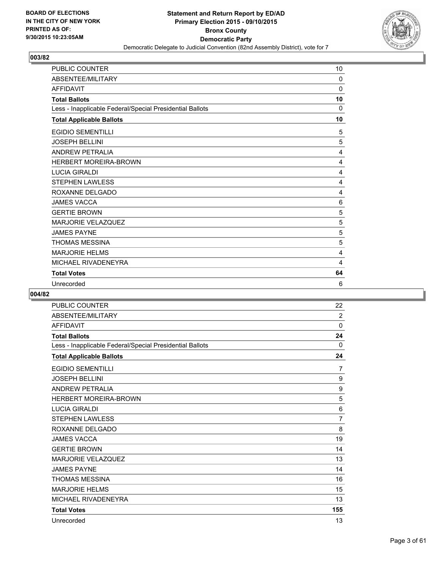

| <b>PUBLIC COUNTER</b>                                    | 10 |
|----------------------------------------------------------|----|
| ABSENTEE/MILITARY                                        | 0  |
| <b>AFFIDAVIT</b>                                         | 0  |
| <b>Total Ballots</b>                                     | 10 |
| Less - Inapplicable Federal/Special Presidential Ballots | 0  |
| <b>Total Applicable Ballots</b>                          | 10 |
| <b>EGIDIO SEMENTILLI</b>                                 | 5  |
| <b>JOSEPH BELLINI</b>                                    | 5  |
| <b>ANDREW PETRALIA</b>                                   | 4  |
| <b>HERBERT MOREIRA-BROWN</b>                             | 4  |
| <b>LUCIA GIRALDI</b>                                     | 4  |
| <b>STEPHEN LAWLESS</b>                                   | 4  |
| ROXANNE DELGADO                                          | 4  |
| <b>JAMES VACCA</b>                                       | 6  |
| <b>GERTIE BROWN</b>                                      | 5  |
| <b>MARJORIE VELAZQUEZ</b>                                | 5  |
| <b>JAMES PAYNE</b>                                       | 5  |
| <b>THOMAS MESSINA</b>                                    | 5  |
| <b>MARJORIE HELMS</b>                                    | 4  |
| MICHAEL RIVADENEYRA                                      | 4  |
| <b>Total Votes</b>                                       | 64 |
| Unrecorded                                               | 6  |

| <b>PUBLIC COUNTER</b>                                    | 22             |
|----------------------------------------------------------|----------------|
| ABSENTEE/MILITARY                                        | $\overline{2}$ |
| <b>AFFIDAVIT</b>                                         | 0              |
| <b>Total Ballots</b>                                     | 24             |
| Less - Inapplicable Federal/Special Presidential Ballots | 0              |
| <b>Total Applicable Ballots</b>                          | 24             |
| <b>EGIDIO SEMENTILLI</b>                                 | 7              |
| <b>JOSEPH BELLINI</b>                                    | 9              |
| <b>ANDREW PETRALIA</b>                                   | 9              |
| <b>HERBERT MOREIRA-BROWN</b>                             | 5              |
| <b>LUCIA GIRALDI</b>                                     | 6              |
| <b>STEPHEN LAWLESS</b>                                   | $\overline{7}$ |
| ROXANNE DELGADO                                          | 8              |
| <b>JAMES VACCA</b>                                       | 19             |
| <b>GERTIE BROWN</b>                                      | 14             |
| <b>MARJORIE VELAZQUEZ</b>                                | 13             |
| <b>JAMES PAYNE</b>                                       | 14             |
| <b>THOMAS MESSINA</b>                                    | 16             |
| <b>MARJORIE HELMS</b>                                    | 15             |
| MICHAEL RIVADENEYRA                                      | 13             |
| <b>Total Votes</b>                                       | 155            |
| Unrecorded                                               | 13             |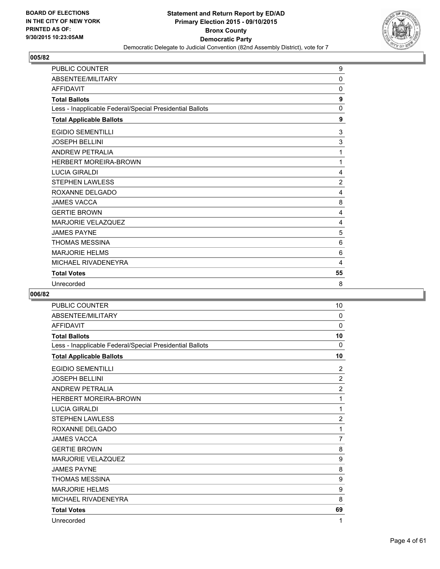

| <b>PUBLIC COUNTER</b>                                    | 9              |
|----------------------------------------------------------|----------------|
| ABSENTEE/MILITARY                                        | $\mathbf 0$    |
| <b>AFFIDAVIT</b>                                         | 0              |
| <b>Total Ballots</b>                                     | 9              |
| Less - Inapplicable Federal/Special Presidential Ballots | 0              |
| <b>Total Applicable Ballots</b>                          | 9              |
| <b>EGIDIO SEMENTILLI</b>                                 | 3              |
| <b>JOSEPH BELLINI</b>                                    | 3              |
| <b>ANDREW PETRALIA</b>                                   | 1              |
| <b>HERBERT MOREIRA-BROWN</b>                             | 1              |
| <b>LUCIA GIRALDI</b>                                     | 4              |
| <b>STEPHEN LAWLESS</b>                                   | $\overline{2}$ |
| ROXANNE DELGADO                                          | 4              |
| <b>JAMES VACCA</b>                                       | 8              |
| <b>GERTIE BROWN</b>                                      | 4              |
| <b>MARJORIE VELAZQUEZ</b>                                | 4              |
| <b>JAMES PAYNE</b>                                       | 5              |
| <b>THOMAS MESSINA</b>                                    | 6              |
| <b>MARJORIE HELMS</b>                                    | 6              |
| MICHAEL RIVADENEYRA                                      | $\overline{4}$ |
| <b>Total Votes</b>                                       | 55             |
| Unrecorded                                               | 8              |

| <b>PUBLIC COUNTER</b>                                    | 10             |
|----------------------------------------------------------|----------------|
| ABSENTEE/MILITARY                                        | 0              |
| <b>AFFIDAVIT</b>                                         | 0              |
| <b>Total Ballots</b>                                     | 10             |
| Less - Inapplicable Federal/Special Presidential Ballots | $\Omega$       |
| <b>Total Applicable Ballots</b>                          | 10             |
| <b>EGIDIO SEMENTILLI</b>                                 | $\overline{2}$ |
| <b>JOSEPH BELLINI</b>                                    | $\overline{2}$ |
| <b>ANDREW PETRALIA</b>                                   | $\overline{2}$ |
| <b>HERBERT MOREIRA-BROWN</b>                             | 1              |
| <b>LUCIA GIRALDI</b>                                     | 1              |
| <b>STEPHEN LAWLESS</b>                                   | $\overline{2}$ |
| ROXANNE DELGADO                                          | 1              |
| <b>JAMES VACCA</b>                                       | 7              |
| <b>GERTIE BROWN</b>                                      | 8              |
| <b>MARJORIE VELAZQUEZ</b>                                | 9              |
| <b>JAMES PAYNE</b>                                       | 8              |
| <b>THOMAS MESSINA</b>                                    | 9              |
| <b>MARJORIE HELMS</b>                                    | 9              |
| MICHAEL RIVADENEYRA                                      | 8              |
| <b>Total Votes</b>                                       | 69             |
| Unrecorded                                               | 1              |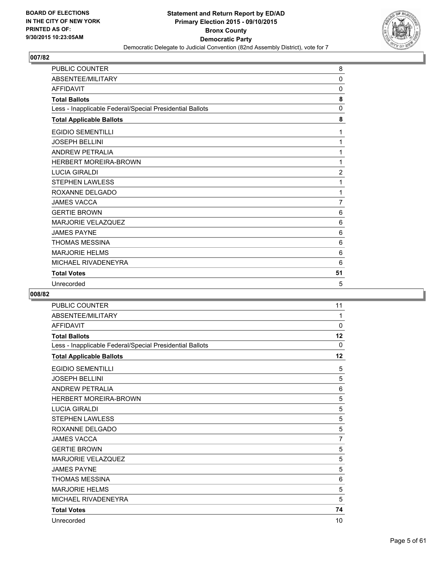

| <b>PUBLIC COUNTER</b>                                    | 8              |
|----------------------------------------------------------|----------------|
| ABSENTEE/MILITARY                                        | $\Omega$       |
| <b>AFFIDAVIT</b>                                         | 0              |
| <b>Total Ballots</b>                                     | 8              |
| Less - Inapplicable Federal/Special Presidential Ballots | 0              |
| <b>Total Applicable Ballots</b>                          | 8              |
| <b>EGIDIO SEMENTILLI</b>                                 | 1              |
| <b>JOSEPH BELLINI</b>                                    | 1              |
| <b>ANDREW PETRALIA</b>                                   | 1              |
| <b>HERBERT MOREIRA-BROWN</b>                             | 1              |
| <b>LUCIA GIRALDI</b>                                     | $\overline{2}$ |
| <b>STEPHEN LAWLESS</b>                                   | 1              |
| ROXANNE DELGADO                                          | 1              |
| <b>JAMES VACCA</b>                                       | 7              |
| <b>GERTIE BROWN</b>                                      | 6              |
| <b>MARJORIE VELAZQUEZ</b>                                | 6              |
| <b>JAMES PAYNE</b>                                       | 6              |
| <b>THOMAS MESSINA</b>                                    | 6              |
| <b>MARJORIE HELMS</b>                                    | 6              |
| MICHAEL RIVADENEYRA                                      | 6              |
| <b>Total Votes</b>                                       | 51             |
| Unrecorded                                               | 5              |

| <b>PUBLIC COUNTER</b>                                    | 11           |
|----------------------------------------------------------|--------------|
| ABSENTEE/MILITARY                                        | 1            |
| <b>AFFIDAVIT</b>                                         | 0            |
| <b>Total Ballots</b>                                     | 12           |
| Less - Inapplicable Federal/Special Presidential Ballots | $\mathbf{0}$ |
| <b>Total Applicable Ballots</b>                          | 12           |
| <b>EGIDIO SEMENTILLI</b>                                 | 5            |
| <b>JOSEPH BELLINI</b>                                    | 5            |
| <b>ANDREW PETRALIA</b>                                   | 6            |
| <b>HERBERT MOREIRA-BROWN</b>                             | 5            |
| <b>LUCIA GIRALDI</b>                                     | 5            |
| <b>STEPHEN LAWLESS</b>                                   | 5            |
| ROXANNE DELGADO                                          | 5            |
| <b>JAMES VACCA</b>                                       | 7            |
| <b>GERTIE BROWN</b>                                      | 5            |
| <b>MARJORIE VELAZQUEZ</b>                                | 5            |
| <b>JAMES PAYNE</b>                                       | 5            |
| <b>THOMAS MESSINA</b>                                    | 6            |
| <b>MARJORIE HELMS</b>                                    | 5            |
| MICHAEL RIVADENEYRA                                      | 5            |
| <b>Total Votes</b>                                       | 74           |
| Unrecorded                                               | 10           |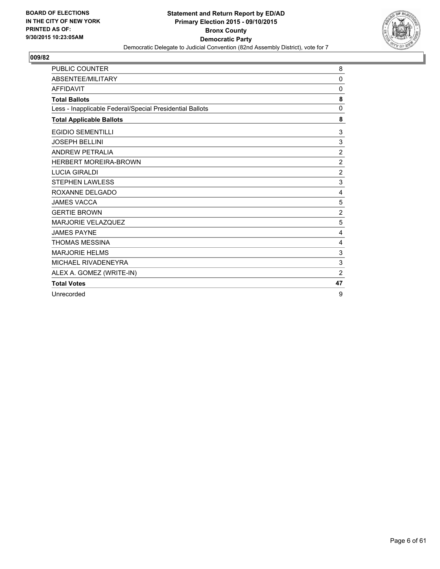

| <b>PUBLIC COUNTER</b>                                    | 8              |
|----------------------------------------------------------|----------------|
| ABSENTEE/MILITARY                                        | 0              |
| <b>AFFIDAVIT</b>                                         | 0              |
| <b>Total Ballots</b>                                     | 8              |
| Less - Inapplicable Federal/Special Presidential Ballots | 0              |
| <b>Total Applicable Ballots</b>                          | 8              |
| <b>EGIDIO SEMENTILLI</b>                                 | 3              |
| <b>JOSEPH BELLINI</b>                                    | 3              |
| <b>ANDREW PETRALIA</b>                                   | $\overline{2}$ |
| <b>HERBERT MOREIRA-BROWN</b>                             | $\overline{2}$ |
| <b>LUCIA GIRALDI</b>                                     | $\overline{2}$ |
| <b>STEPHEN LAWLESS</b>                                   | 3              |
| ROXANNE DELGADO                                          | 4              |
| <b>JAMES VACCA</b>                                       | 5              |
| <b>GERTIE BROWN</b>                                      | $\overline{2}$ |
| <b>MARJORIE VELAZQUEZ</b>                                | 5              |
| <b>JAMES PAYNE</b>                                       | 4              |
| <b>THOMAS MESSINA</b>                                    | 4              |
| <b>MARJORIE HELMS</b>                                    | 3              |
| MICHAEL RIVADENEYRA                                      | 3              |
| ALEX A. GOMEZ (WRITE-IN)                                 | $\overline{2}$ |
| <b>Total Votes</b>                                       | 47             |
| Unrecorded                                               | 9              |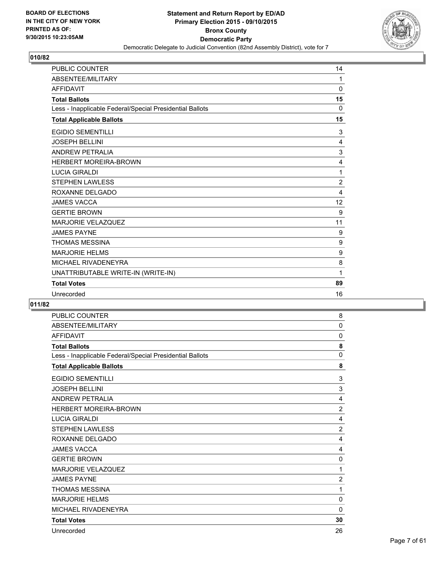

| <b>PUBLIC COUNTER</b>                                    | 14             |
|----------------------------------------------------------|----------------|
| ABSENTEE/MILITARY                                        | 1              |
| <b>AFFIDAVIT</b>                                         | $\mathbf 0$    |
| <b>Total Ballots</b>                                     | 15             |
| Less - Inapplicable Federal/Special Presidential Ballots | $\mathbf{0}$   |
| <b>Total Applicable Ballots</b>                          | 15             |
| <b>EGIDIO SEMENTILLI</b>                                 | 3              |
| <b>JOSEPH BELLINI</b>                                    | 4              |
| <b>ANDREW PETRALIA</b>                                   | 3              |
| <b>HERBERT MOREIRA-BROWN</b>                             | $\overline{4}$ |
| <b>LUCIA GIRALDI</b>                                     | 1              |
| <b>STEPHEN LAWLESS</b>                                   | $\overline{2}$ |
| ROXANNE DELGADO                                          | 4              |
| <b>JAMES VACCA</b>                                       | 12             |
| <b>GERTIE BROWN</b>                                      | 9              |
| <b>MARJORIE VELAZQUEZ</b>                                | 11             |
| <b>JAMES PAYNE</b>                                       | 9              |
| <b>THOMAS MESSINA</b>                                    | 9              |
| <b>MARJORIE HELMS</b>                                    | 9              |
| MICHAEL RIVADENEYRA                                      | 8              |
| UNATTRIBUTABLE WRITE-IN (WRITE-IN)                       | 1              |
| <b>Total Votes</b>                                       | 89             |
| Unrecorded                                               | 16             |

| <b>PUBLIC COUNTER</b>                                    | 8              |
|----------------------------------------------------------|----------------|
| ABSENTEE/MILITARY                                        | $\mathbf{0}$   |
| <b>AFFIDAVIT</b>                                         | 0              |
| <b>Total Ballots</b>                                     | 8              |
| Less - Inapplicable Federal/Special Presidential Ballots | $\Omega$       |
| <b>Total Applicable Ballots</b>                          | 8              |
| <b>EGIDIO SEMENTILLI</b>                                 | 3              |
| <b>JOSEPH BELLINI</b>                                    | 3              |
| <b>ANDREW PETRALIA</b>                                   | 4              |
| <b>HERBERT MOREIRA-BROWN</b>                             | $\overline{2}$ |
| <b>LUCIA GIRALDI</b>                                     | 4              |
| STEPHEN LAWLESS                                          | $\overline{2}$ |
| ROXANNE DELGADO                                          | 4              |
| <b>JAMES VACCA</b>                                       | 4              |
| <b>GERTIE BROWN</b>                                      | 0              |
| <b>MARJORIE VELAZQUEZ</b>                                | 1              |
| <b>JAMES PAYNE</b>                                       | $\overline{2}$ |
| <b>THOMAS MESSINA</b>                                    | 1              |
| <b>MARJORIE HELMS</b>                                    | $\mathbf{0}$   |
| MICHAEL RIVADENEYRA                                      | $\mathbf{0}$   |
| <b>Total Votes</b>                                       | 30             |
| Unrecorded                                               | 26             |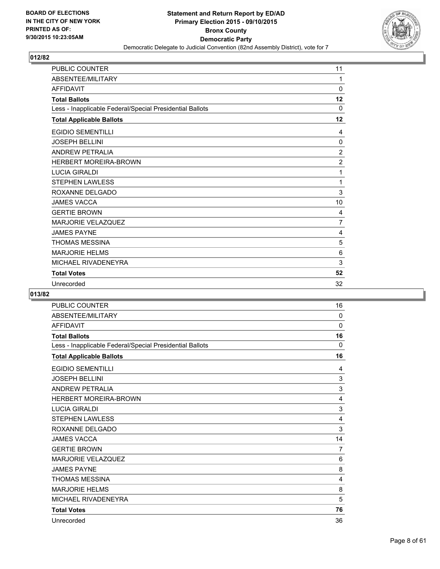

| PUBLIC COUNTER                                           | 11             |
|----------------------------------------------------------|----------------|
| ABSENTEE/MILITARY                                        | 1              |
| <b>AFFIDAVIT</b>                                         | 0              |
| <b>Total Ballots</b>                                     | 12             |
| Less - Inapplicable Federal/Special Presidential Ballots | 0              |
| <b>Total Applicable Ballots</b>                          | 12             |
| <b>EGIDIO SEMENTILLI</b>                                 | 4              |
| <b>JOSEPH BELLINI</b>                                    | $\mathbf 0$    |
| <b>ANDREW PETRALIA</b>                                   | $\overline{2}$ |
| <b>HERBERT MOREIRA-BROWN</b>                             | $\overline{c}$ |
| <b>LUCIA GIRALDI</b>                                     | 1              |
| <b>STEPHEN LAWLESS</b>                                   | 1              |
| ROXANNE DELGADO                                          | 3              |
| <b>JAMES VACCA</b>                                       | 10             |
| <b>GERTIE BROWN</b>                                      | 4              |
| <b>MARJORIE VELAZQUEZ</b>                                | $\overline{7}$ |
| <b>JAMES PAYNE</b>                                       | 4              |
| <b>THOMAS MESSINA</b>                                    | 5              |
| <b>MARJORIE HELMS</b>                                    | 6              |
| MICHAEL RIVADENEYRA                                      | 3              |
| <b>Total Votes</b>                                       | 52             |
| Unrecorded                                               | 32             |

| <b>PUBLIC COUNTER</b>                                    | 16       |
|----------------------------------------------------------|----------|
| ABSENTEE/MILITARY                                        | $\Omega$ |
| <b>AFFIDAVIT</b>                                         | 0        |
| <b>Total Ballots</b>                                     | 16       |
| Less - Inapplicable Federal/Special Presidential Ballots | $\Omega$ |
| <b>Total Applicable Ballots</b>                          | 16       |
| <b>EGIDIO SEMENTILLI</b>                                 | 4        |
| <b>JOSEPH BELLINI</b>                                    | 3        |
| <b>ANDREW PETRALIA</b>                                   | 3        |
| <b>HERBERT MOREIRA-BROWN</b>                             | 4        |
| <b>LUCIA GIRALDI</b>                                     | 3        |
| <b>STEPHEN LAWLESS</b>                                   | 4        |
| ROXANNE DELGADO                                          | 3        |
| <b>JAMES VACCA</b>                                       | 14       |
| <b>GERTIE BROWN</b>                                      | 7        |
| <b>MARJORIE VELAZQUEZ</b>                                | 6        |
| <b>JAMES PAYNE</b>                                       | 8        |
| <b>THOMAS MESSINA</b>                                    | 4        |
| <b>MARJORIE HELMS</b>                                    | 8        |
| MICHAEL RIVADENEYRA                                      | 5        |
| <b>Total Votes</b>                                       | 76       |
| Unrecorded                                               | 36       |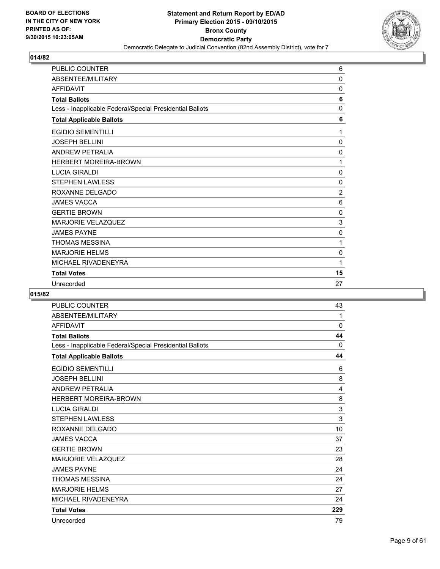

| <b>PUBLIC COUNTER</b>                                    | 6              |
|----------------------------------------------------------|----------------|
| ABSENTEE/MILITARY                                        | $\mathbf 0$    |
| <b>AFFIDAVIT</b>                                         | 0              |
| <b>Total Ballots</b>                                     | 6              |
| Less - Inapplicable Federal/Special Presidential Ballots | 0              |
| <b>Total Applicable Ballots</b>                          | 6              |
| <b>EGIDIO SEMENTILLI</b>                                 | 1              |
| <b>JOSEPH BELLINI</b>                                    | $\mathbf 0$    |
| <b>ANDREW PETRALIA</b>                                   | $\Omega$       |
| <b>HERBERT MOREIRA-BROWN</b>                             | 1              |
| <b>LUCIA GIRALDI</b>                                     | $\mathbf 0$    |
| <b>STEPHEN LAWLESS</b>                                   | $\mathbf 0$    |
| ROXANNE DELGADO                                          | $\overline{2}$ |
| <b>JAMES VACCA</b>                                       | 6              |
| <b>GERTIE BROWN</b>                                      | 0              |
| <b>MARJORIE VELAZQUEZ</b>                                | 3              |
| <b>JAMES PAYNE</b>                                       | $\mathbf 0$    |
| <b>THOMAS MESSINA</b>                                    | 1              |
| <b>MARJORIE HELMS</b>                                    | 0              |
| MICHAEL RIVADENEYRA                                      | 1              |
| <b>Total Votes</b>                                       | 15             |
| Unrecorded                                               | 27             |

| <b>PUBLIC COUNTER</b>                                    | 43       |
|----------------------------------------------------------|----------|
| ABSENTEE/MILITARY                                        | 1        |
| <b>AFFIDAVIT</b>                                         | 0        |
| <b>Total Ballots</b>                                     | 44       |
| Less - Inapplicable Federal/Special Presidential Ballots | $\Omega$ |
| <b>Total Applicable Ballots</b>                          | 44       |
| <b>EGIDIO SEMENTILLI</b>                                 | 6        |
| <b>JOSEPH BELLINI</b>                                    | 8        |
| <b>ANDREW PETRALIA</b>                                   | 4        |
| <b>HERBERT MOREIRA-BROWN</b>                             | 8        |
| <b>LUCIA GIRALDI</b>                                     | 3        |
| <b>STEPHEN LAWLESS</b>                                   | 3        |
| ROXANNE DELGADO                                          | 10       |
| <b>JAMES VACCA</b>                                       | 37       |
| <b>GERTIE BROWN</b>                                      | 23       |
| <b>MARJORIE VELAZQUEZ</b>                                | 28       |
| <b>JAMES PAYNE</b>                                       | 24       |
| <b>THOMAS MESSINA</b>                                    | 24       |
| <b>MARJORIE HELMS</b>                                    | 27       |
| MICHAEL RIVADENEYRA                                      | 24       |
| <b>Total Votes</b>                                       | 229      |
| Unrecorded                                               | 79       |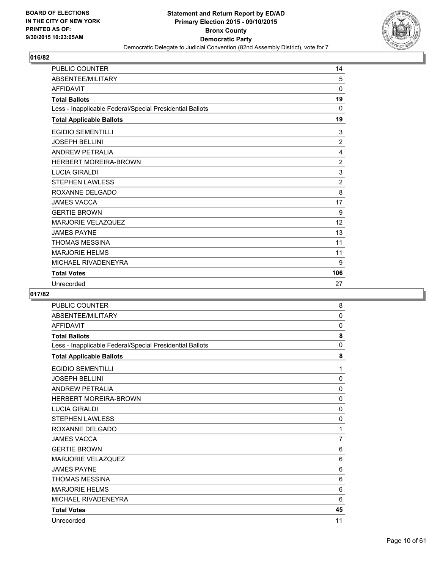

| <b>PUBLIC COUNTER</b>                                    | 14             |
|----------------------------------------------------------|----------------|
| ABSENTEE/MILITARY                                        | 5              |
| <b>AFFIDAVIT</b>                                         | $\Omega$       |
| <b>Total Ballots</b>                                     | 19             |
| Less - Inapplicable Federal/Special Presidential Ballots | 0              |
| <b>Total Applicable Ballots</b>                          | 19             |
| <b>EGIDIO SEMENTILLI</b>                                 | 3              |
| <b>JOSEPH BELLINI</b>                                    | $\overline{2}$ |
| <b>ANDREW PETRALIA</b>                                   | 4              |
| <b>HERBERT MOREIRA-BROWN</b>                             | $\overline{2}$ |
| <b>LUCIA GIRALDI</b>                                     | 3              |
| <b>STEPHEN LAWLESS</b>                                   | $\overline{2}$ |
| ROXANNE DELGADO                                          | 8              |
| <b>JAMES VACCA</b>                                       | 17             |
| <b>GERTIE BROWN</b>                                      | 9              |
| <b>MARJORIE VELAZQUEZ</b>                                | 12             |
| <b>JAMES PAYNE</b>                                       | 13             |
| <b>THOMAS MESSINA</b>                                    | 11             |
| <b>MARJORIE HELMS</b>                                    | 11             |
| MICHAEL RIVADENEYRA                                      | 9              |
| <b>Total Votes</b>                                       | 106            |
| Unrecorded                                               | 27             |

| <b>PUBLIC COUNTER</b>                                    | 8              |
|----------------------------------------------------------|----------------|
| ABSENTEE/MILITARY                                        | $\Omega$       |
| <b>AFFIDAVIT</b>                                         | 0              |
| <b>Total Ballots</b>                                     | 8              |
| Less - Inapplicable Federal/Special Presidential Ballots | $\mathbf{0}$   |
| <b>Total Applicable Ballots</b>                          | 8              |
| <b>EGIDIO SEMENTILLI</b>                                 | 1              |
| <b>JOSEPH BELLINI</b>                                    | 0              |
| <b>ANDREW PETRALIA</b>                                   | $\Omega$       |
| <b>HERBERT MOREIRA-BROWN</b>                             | 0              |
| <b>LUCIA GIRALDI</b>                                     | 0              |
| STEPHEN LAWLESS                                          | 0              |
| ROXANNE DELGADO                                          | 1              |
| <b>JAMES VACCA</b>                                       | $\overline{7}$ |
| <b>GERTIE BROWN</b>                                      | 6              |
| <b>MARJORIE VELAZQUEZ</b>                                | 6              |
| <b>JAMES PAYNE</b>                                       | 6              |
| <b>THOMAS MESSINA</b>                                    | 6              |
| <b>MARJORIE HELMS</b>                                    | 6              |
| MICHAEL RIVADENEYRA                                      | 6              |
| <b>Total Votes</b>                                       | 45             |
| Unrecorded                                               | 11             |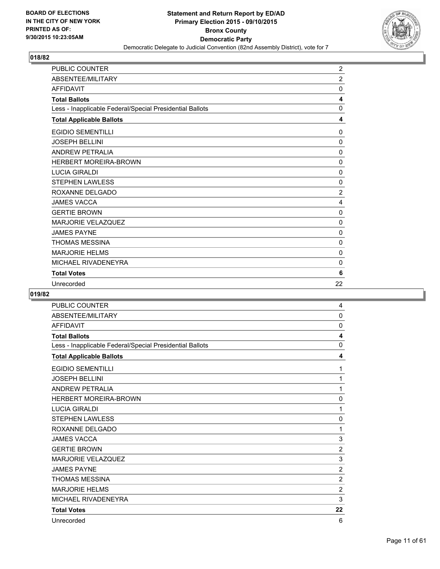

| <b>PUBLIC COUNTER</b>                                    | $\overline{c}$ |
|----------------------------------------------------------|----------------|
| ABSENTEE/MILITARY                                        | $\overline{2}$ |
| <b>AFFIDAVIT</b>                                         | 0              |
| <b>Total Ballots</b>                                     | 4              |
| Less - Inapplicable Federal/Special Presidential Ballots | 0              |
| <b>Total Applicable Ballots</b>                          | 4              |
| <b>EGIDIO SEMENTILLI</b>                                 | 0              |
| <b>JOSEPH BELLINI</b>                                    | $\Omega$       |
| <b>ANDREW PETRALIA</b>                                   | $\mathbf 0$    |
| <b>HERBERT MOREIRA-BROWN</b>                             | 0              |
| <b>LUCIA GIRALDI</b>                                     | $\mathbf 0$    |
| <b>STEPHEN LAWLESS</b>                                   | $\mathbf 0$    |
| ROXANNE DELGADO                                          | $\overline{2}$ |
| <b>JAMES VACCA</b>                                       | 4              |
| <b>GERTIE BROWN</b>                                      | 0              |
| <b>MARJORIE VELAZQUEZ</b>                                | 0              |
| <b>JAMES PAYNE</b>                                       | $\mathbf 0$    |
| <b>THOMAS MESSINA</b>                                    | 0              |
| <b>MARJORIE HELMS</b>                                    | 0              |
| MICHAEL RIVADENEYRA                                      | $\mathbf 0$    |
| <b>Total Votes</b>                                       | 6              |
| Unrecorded                                               | 22             |

| <b>PUBLIC COUNTER</b>                                    | 4              |
|----------------------------------------------------------|----------------|
| ABSENTEE/MILITARY                                        | $\mathbf{0}$   |
| <b>AFFIDAVIT</b>                                         | $\mathbf 0$    |
| <b>Total Ballots</b>                                     | 4              |
| Less - Inapplicable Federal/Special Presidential Ballots | $\mathbf{0}$   |
| <b>Total Applicable Ballots</b>                          | 4              |
| <b>EGIDIO SEMENTILLI</b>                                 | 1              |
| <b>JOSEPH BELLINI</b>                                    | 1              |
| <b>ANDREW PETRALIA</b>                                   | 1              |
| <b>HERBERT MOREIRA-BROWN</b>                             | 0              |
| <b>LUCIA GIRALDI</b>                                     | 1              |
| <b>STEPHEN LAWLESS</b>                                   | $\mathbf 0$    |
| ROXANNE DELGADO                                          | 1              |
| <b>JAMES VACCA</b>                                       | 3              |
| <b>GERTIE BROWN</b>                                      | $\overline{2}$ |
| <b>MARJORIE VELAZQUEZ</b>                                | 3              |
| <b>JAMES PAYNE</b>                                       | $\overline{2}$ |
| <b>THOMAS MESSINA</b>                                    | $\overline{c}$ |
| <b>MARJORIE HELMS</b>                                    | $\overline{2}$ |
| MICHAEL RIVADENEYRA                                      | 3              |
| <b>Total Votes</b>                                       | 22             |
| Unrecorded                                               | 6              |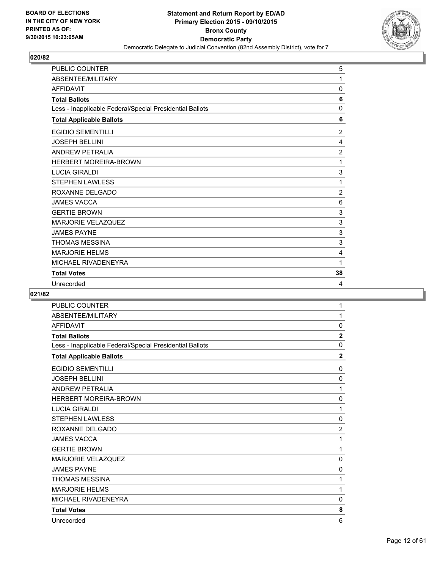

| <b>PUBLIC COUNTER</b>                                    | 5              |
|----------------------------------------------------------|----------------|
| ABSENTEE/MILITARY                                        | 1              |
| <b>AFFIDAVIT</b>                                         | 0              |
| <b>Total Ballots</b>                                     | 6              |
| Less - Inapplicable Federal/Special Presidential Ballots | 0              |
| <b>Total Applicable Ballots</b>                          | 6              |
| <b>EGIDIO SEMENTILLI</b>                                 | $\overline{2}$ |
| <b>JOSEPH BELLINI</b>                                    | 4              |
| <b>ANDREW PETRALIA</b>                                   | $\overline{2}$ |
| <b>HERBERT MOREIRA-BROWN</b>                             | 1              |
| <b>LUCIA GIRALDI</b>                                     | 3              |
| <b>STEPHEN LAWLESS</b>                                   | 1              |
| ROXANNE DELGADO                                          | 2              |
| <b>JAMES VACCA</b>                                       | 6              |
| <b>GERTIE BROWN</b>                                      | 3              |
| <b>MARJORIE VELAZQUEZ</b>                                | 3              |
| <b>JAMES PAYNE</b>                                       | 3              |
| <b>THOMAS MESSINA</b>                                    | 3              |
| <b>MARJORIE HELMS</b>                                    | 4              |
| MICHAEL RIVADENEYRA                                      | 1              |
| <b>Total Votes</b>                                       | 38             |
| Unrecorded                                               | 4              |

| <b>PUBLIC COUNTER</b>                                    | 1              |
|----------------------------------------------------------|----------------|
| ABSENTEE/MILITARY                                        | 1              |
| <b>AFFIDAVIT</b>                                         | 0              |
| <b>Total Ballots</b>                                     | $\mathbf 2$    |
| Less - Inapplicable Federal/Special Presidential Ballots | 0              |
| <b>Total Applicable Ballots</b>                          | $\overline{2}$ |
| <b>EGIDIO SEMENTILLI</b>                                 | 0              |
| <b>JOSEPH BELLINI</b>                                    | $\mathbf 0$    |
| <b>ANDREW PETRALIA</b>                                   | 1              |
| <b>HERBERT MOREIRA-BROWN</b>                             | 0              |
| <b>LUCIA GIRALDI</b>                                     | 1              |
| <b>STEPHEN LAWLESS</b>                                   | 0              |
| ROXANNE DELGADO                                          | $\overline{2}$ |
| <b>JAMES VACCA</b>                                       | 1              |
| <b>GERTIE BROWN</b>                                      | 1              |
| <b>MARJORIE VELAZQUEZ</b>                                | $\mathbf 0$    |
| <b>JAMES PAYNE</b>                                       | 0              |
| <b>THOMAS MESSINA</b>                                    | 1              |
| <b>MARJORIE HELMS</b>                                    | 1              |
| MICHAEL RIVADENEYRA                                      | 0              |
| <b>Total Votes</b>                                       | 8              |
| Unrecorded                                               | 6              |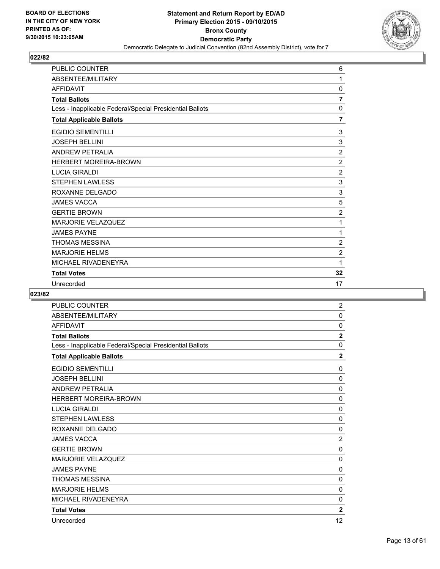

| <b>PUBLIC COUNTER</b>                                    | 6              |
|----------------------------------------------------------|----------------|
| ABSENTEE/MILITARY                                        | 1              |
| <b>AFFIDAVIT</b>                                         | 0              |
| <b>Total Ballots</b>                                     | $\overline{7}$ |
| Less - Inapplicable Federal/Special Presidential Ballots | $\mathbf 0$    |
| <b>Total Applicable Ballots</b>                          | $\overline{7}$ |
| <b>EGIDIO SEMENTILLI</b>                                 | 3              |
| <b>JOSEPH BELLINI</b>                                    | 3              |
| <b>ANDREW PETRALIA</b>                                   | $\overline{2}$ |
| <b>HERBERT MOREIRA-BROWN</b>                             | 2              |
| <b>LUCIA GIRALDI</b>                                     | $\overline{2}$ |
| <b>STEPHEN LAWLESS</b>                                   | 3              |
| ROXANNE DELGADO                                          | $\mathsf 3$    |
| <b>JAMES VACCA</b>                                       | 5              |
| <b>GERTIE BROWN</b>                                      | $\overline{2}$ |
| <b>MARJORIE VELAZQUEZ</b>                                | 1              |
| <b>JAMES PAYNE</b>                                       | 1              |
| <b>THOMAS MESSINA</b>                                    | $\overline{2}$ |
| <b>MARJORIE HELMS</b>                                    | 2              |
| MICHAEL RIVADENEYRA                                      | 1              |
| <b>Total Votes</b>                                       | 32             |
| Unrecorded                                               | 17             |

| <b>PUBLIC COUNTER</b>                                    | 2              |
|----------------------------------------------------------|----------------|
| ABSENTEE/MILITARY                                        | $\Omega$       |
| <b>AFFIDAVIT</b>                                         | 0              |
| <b>Total Ballots</b>                                     | $\overline{2}$ |
| Less - Inapplicable Federal/Special Presidential Ballots | 0              |
| <b>Total Applicable Ballots</b>                          | $\mathbf 2$    |
| <b>EGIDIO SEMENTILLI</b>                                 | 0              |
| <b>JOSEPH BELLINI</b>                                    | 0              |
| <b>ANDREW PETRALIA</b>                                   | 0              |
| <b>HERBERT MOREIRA-BROWN</b>                             | $\Omega$       |
| <b>LUCIA GIRALDI</b>                                     | $\mathbf{0}$   |
| <b>STEPHEN LAWLESS</b>                                   | 0              |
| ROXANNE DELGADO                                          | 0              |
| <b>JAMES VACCA</b>                                       | $\overline{2}$ |
| <b>GERTIE BROWN</b>                                      | 0              |
| <b>MARJORIE VELAZQUEZ</b>                                | 0              |
| <b>JAMES PAYNE</b>                                       | $\Omega$       |
| <b>THOMAS MESSINA</b>                                    | $\mathbf 0$    |
| <b>MARJORIE HELMS</b>                                    | 0              |
| MICHAEL RIVADENEYRA                                      | 0              |
| <b>Total Votes</b>                                       | $\overline{2}$ |
| Unrecorded                                               | 12             |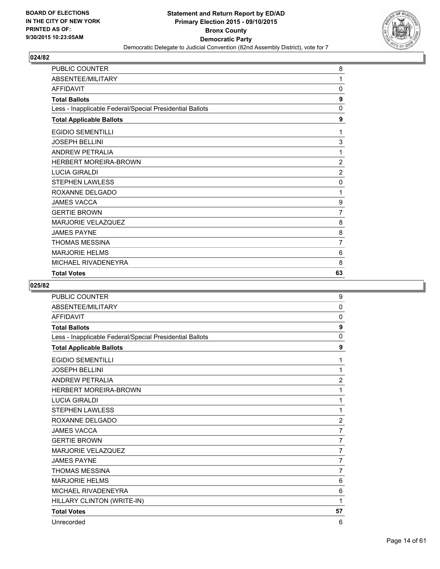

| PUBLIC COUNTER                                           | 8              |
|----------------------------------------------------------|----------------|
| ABSENTEE/MILITARY                                        | 1              |
| <b>AFFIDAVIT</b>                                         | 0              |
| <b>Total Ballots</b>                                     | 9              |
| Less - Inapplicable Federal/Special Presidential Ballots | $\mathbf{0}$   |
| <b>Total Applicable Ballots</b>                          | 9              |
| <b>EGIDIO SEMENTILLI</b>                                 | 1              |
| <b>JOSEPH BELLINI</b>                                    | 3              |
| <b>ANDREW PETRALIA</b>                                   | 1              |
| <b>HERBERT MOREIRA-BROWN</b>                             | $\overline{2}$ |
| <b>LUCIA GIRALDI</b>                                     | $\overline{2}$ |
| <b>STEPHEN LAWLESS</b>                                   | 0              |
| ROXANNE DELGADO                                          | 1              |
| <b>JAMES VACCA</b>                                       | 9              |
| <b>GERTIE BROWN</b>                                      | 7              |
| <b>MARJORIE VELAZQUEZ</b>                                | 8              |
| <b>JAMES PAYNE</b>                                       | 8              |
| <b>THOMAS MESSINA</b>                                    | 7              |
| <b>MARJORIE HELMS</b>                                    | 6              |
| MICHAEL RIVADENEYRA                                      | 8              |
| <b>Total Votes</b>                                       | 63             |

| <b>PUBLIC COUNTER</b>                                    | 9              |
|----------------------------------------------------------|----------------|
| ABSENTEE/MILITARY                                        | $\mathbf{0}$   |
| <b>AFFIDAVIT</b>                                         | 0              |
| <b>Total Ballots</b>                                     | 9              |
| Less - Inapplicable Federal/Special Presidential Ballots | $\Omega$       |
| <b>Total Applicable Ballots</b>                          | 9              |
| <b>EGIDIO SEMENTILLI</b>                                 | 1              |
| <b>JOSEPH BELLINI</b>                                    | 1              |
| <b>ANDREW PETRALIA</b>                                   | $\overline{2}$ |
| <b>HERBERT MOREIRA-BROWN</b>                             | 1              |
| <b>LUCIA GIRALDI</b>                                     | 1              |
| <b>STEPHEN LAWLESS</b>                                   | 1              |
| ROXANNE DELGADO                                          | $\overline{2}$ |
| <b>JAMES VACCA</b>                                       | 7              |
| <b>GERTIE BROWN</b>                                      | $\overline{7}$ |
| <b>MARJORIE VELAZQUEZ</b>                                | $\overline{7}$ |
| <b>JAMES PAYNE</b>                                       | $\overline{7}$ |
| <b>THOMAS MESSINA</b>                                    | $\overline{7}$ |
| <b>MARJORIE HELMS</b>                                    | 6              |
| MICHAEL RIVADENEYRA                                      | 6              |
| HILLARY CLINTON (WRITE-IN)                               | 1              |
| <b>Total Votes</b>                                       | 57             |
| Unrecorded                                               | 6              |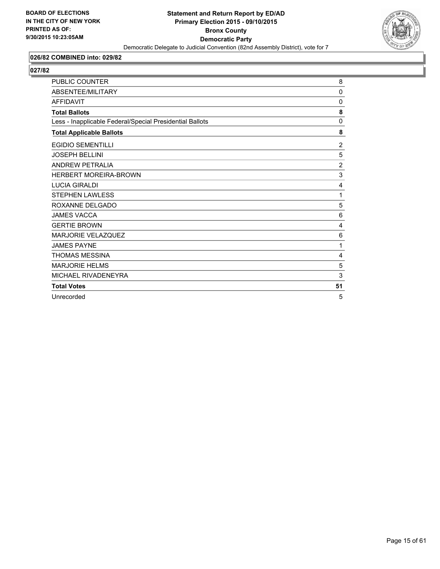

## **026/82 COMBINED into: 029/82**

| <b>PUBLIC COUNTER</b>                                    | 8              |
|----------------------------------------------------------|----------------|
| ABSENTEE/MILITARY                                        | 0              |
| <b>AFFIDAVIT</b>                                         | $\mathbf{0}$   |
| <b>Total Ballots</b>                                     | 8              |
| Less - Inapplicable Federal/Special Presidential Ballots | 0              |
| <b>Total Applicable Ballots</b>                          | 8              |
| <b>EGIDIO SEMENTILLI</b>                                 | $\overline{2}$ |
| <b>JOSEPH BELLINI</b>                                    | 5              |
| <b>ANDREW PETRALIA</b>                                   | $\overline{2}$ |
| <b>HERBERT MOREIRA-BROWN</b>                             | 3              |
| <b>LUCIA GIRALDI</b>                                     | 4              |
| <b>STEPHEN LAWLESS</b>                                   | 1              |
| ROXANNE DELGADO                                          | 5              |
| <b>JAMES VACCA</b>                                       | 6              |
| <b>GERTIE BROWN</b>                                      | 4              |
| <b>MARJORIE VELAZQUEZ</b>                                | 6              |
| <b>JAMES PAYNE</b>                                       | $\mathbf{1}$   |
| <b>THOMAS MESSINA</b>                                    | 4              |
| <b>MARJORIE HELMS</b>                                    | 5              |
| MICHAEL RIVADENEYRA                                      | 3              |
| <b>Total Votes</b>                                       | 51             |
| Unrecorded                                               | 5              |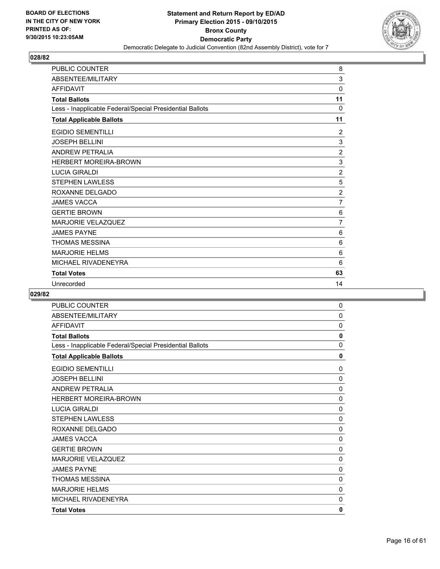

| <b>PUBLIC COUNTER</b>                                    | 8              |
|----------------------------------------------------------|----------------|
| ABSENTEE/MILITARY                                        | 3              |
| <b>AFFIDAVIT</b>                                         | 0              |
| <b>Total Ballots</b>                                     | 11             |
| Less - Inapplicable Federal/Special Presidential Ballots | $\Omega$       |
| <b>Total Applicable Ballots</b>                          | 11             |
| <b>EGIDIO SEMENTILLI</b>                                 | 2              |
| <b>JOSEPH BELLINI</b>                                    | 3              |
| <b>ANDREW PETRALIA</b>                                   | $\overline{2}$ |
| <b>HERBERT MOREIRA-BROWN</b>                             | 3              |
| <b>LUCIA GIRALDI</b>                                     | $\overline{2}$ |
| <b>STEPHEN LAWLESS</b>                                   | 5              |
| ROXANNE DELGADO                                          | $\overline{2}$ |
| <b>JAMES VACCA</b>                                       | $\overline{7}$ |
| <b>GERTIE BROWN</b>                                      | 6              |
| <b>MARJORIE VELAZQUEZ</b>                                | $\overline{7}$ |
| <b>JAMES PAYNE</b>                                       | 6              |
| <b>THOMAS MESSINA</b>                                    | 6              |
| <b>MARJORIE HELMS</b>                                    | 6              |
| MICHAEL RIVADENEYRA                                      | 6              |
| <b>Total Votes</b>                                       | 63             |
| Unrecorded                                               | 14             |

| PUBLIC COUNTER                                           | 0            |
|----------------------------------------------------------|--------------|
| ABSENTEE/MILITARY                                        | 0            |
| <b>AFFIDAVIT</b>                                         | $\mathbf{0}$ |
| <b>Total Ballots</b>                                     | $\mathbf 0$  |
| Less - Inapplicable Federal/Special Presidential Ballots | 0            |
| <b>Total Applicable Ballots</b>                          | 0            |
| <b>EGIDIO SEMENTILLI</b>                                 | 0            |
| <b>JOSEPH BELLINI</b>                                    | $\mathbf 0$  |
| <b>ANDREW PETRALIA</b>                                   | 0            |
| HERBERT MOREIRA-BROWN                                    | $\mathbf 0$  |
| <b>LUCIA GIRALDI</b>                                     | 0            |
| <b>STEPHEN LAWLESS</b>                                   | $\mathbf 0$  |
| ROXANNE DELGADO                                          | 0            |
| <b>JAMES VACCA</b>                                       | 0            |
| <b>GERTIE BROWN</b>                                      | 0            |
| MARJORIE VELAZQUEZ                                       | $\mathbf 0$  |
| <b>JAMES PAYNE</b>                                       | $\mathbf{0}$ |
| <b>THOMAS MESSINA</b>                                    | 0            |
| <b>MARJORIE HELMS</b>                                    | 0            |
| MICHAEL RIVADENEYRA                                      | 0            |
| <b>Total Votes</b>                                       | 0            |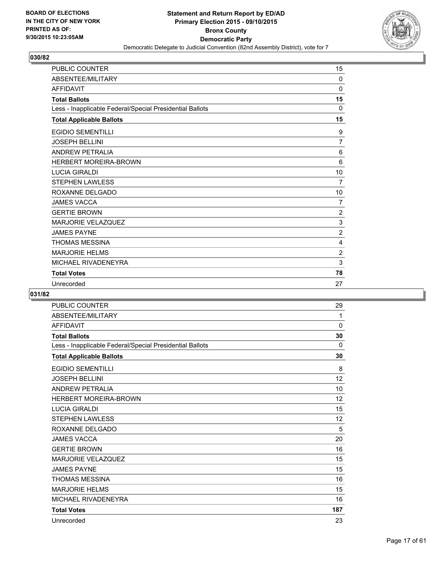

| <b>PUBLIC COUNTER</b>                                    | 15             |
|----------------------------------------------------------|----------------|
| ABSENTEE/MILITARY                                        | 0              |
| <b>AFFIDAVIT</b>                                         | 0              |
| <b>Total Ballots</b>                                     | 15             |
| Less - Inapplicable Federal/Special Presidential Ballots | $\Omega$       |
| <b>Total Applicable Ballots</b>                          | 15             |
| <b>EGIDIO SEMENTILLI</b>                                 | 9              |
| <b>JOSEPH BELLINI</b>                                    | $\overline{7}$ |
| <b>ANDREW PETRALIA</b>                                   | 6              |
| <b>HERBERT MOREIRA-BROWN</b>                             | 6              |
| <b>LUCIA GIRALDI</b>                                     | 10             |
| <b>STEPHEN LAWLESS</b>                                   | 7              |
| ROXANNE DELGADO                                          | 10             |
| <b>JAMES VACCA</b>                                       | 7              |
| <b>GERTIE BROWN</b>                                      | $\overline{2}$ |
| <b>MARJORIE VELAZQUEZ</b>                                | 3              |
| <b>JAMES PAYNE</b>                                       | $\overline{2}$ |
| <b>THOMAS MESSINA</b>                                    | 4              |
| <b>MARJORIE HELMS</b>                                    | 2              |
| MICHAEL RIVADENEYRA                                      | 3              |
| <b>Total Votes</b>                                       | 78             |
| Unrecorded                                               | 27             |

| <b>PUBLIC COUNTER</b>                                    | 29       |
|----------------------------------------------------------|----------|
| ABSENTEE/MILITARY                                        | 1        |
| <b>AFFIDAVIT</b>                                         | 0        |
| <b>Total Ballots</b>                                     | 30       |
| Less - Inapplicable Federal/Special Presidential Ballots | $\Omega$ |
| <b>Total Applicable Ballots</b>                          | 30       |
| <b>EGIDIO SEMENTILLI</b>                                 | 8        |
| <b>JOSEPH BELLINI</b>                                    | 12       |
| <b>ANDREW PETRALIA</b>                                   | 10       |
| <b>HERBERT MOREIRA-BROWN</b>                             | 12       |
| <b>LUCIA GIRALDI</b>                                     | 15       |
| <b>STEPHEN LAWLESS</b>                                   | 12       |
| ROXANNE DELGADO                                          | 5        |
| <b>JAMES VACCA</b>                                       | 20       |
| <b>GERTIE BROWN</b>                                      | 16       |
| <b>MARJORIE VELAZQUEZ</b>                                | 15       |
| <b>JAMES PAYNE</b>                                       | 15       |
| <b>THOMAS MESSINA</b>                                    | 16       |
| <b>MARJORIE HELMS</b>                                    | 15       |
| MICHAEL RIVADENEYRA                                      | 16       |
| <b>Total Votes</b>                                       | 187      |
| Unrecorded                                               | 23       |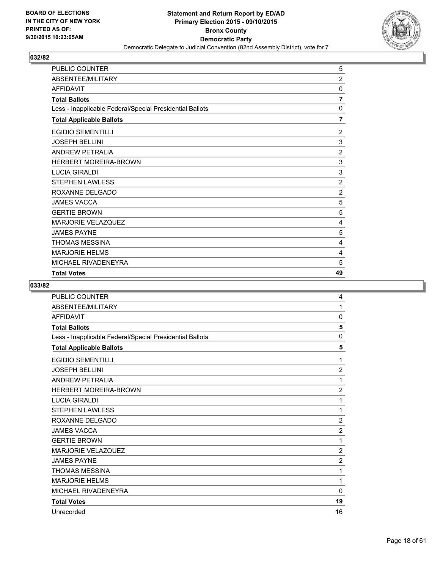

| PUBLIC COUNTER                                           | 5              |
|----------------------------------------------------------|----------------|
| ABSENTEE/MILITARY                                        | $\overline{2}$ |
| <b>AFFIDAVIT</b>                                         | 0              |
| <b>Total Ballots</b>                                     | 7              |
| Less - Inapplicable Federal/Special Presidential Ballots | 0              |
| <b>Total Applicable Ballots</b>                          | 7              |
| <b>EGIDIO SEMENTILLI</b>                                 | $\overline{2}$ |
| <b>JOSEPH BELLINI</b>                                    | 3              |
| <b>ANDREW PETRALIA</b>                                   | $\overline{2}$ |
| <b>HERBERT MOREIRA-BROWN</b>                             | 3              |
| <b>LUCIA GIRALDI</b>                                     | 3              |
| <b>STEPHEN LAWLESS</b>                                   | $\overline{2}$ |
| ROXANNE DELGADO                                          | $\overline{2}$ |
| <b>JAMES VACCA</b>                                       | 5              |
| <b>GERTIE BROWN</b>                                      | 5              |
| <b>MARJORIE VELAZQUEZ</b>                                | 4              |
| <b>JAMES PAYNE</b>                                       | 5              |
| <b>THOMAS MESSINA</b>                                    | 4              |
| <b>MARJORIE HELMS</b>                                    | 4              |
| MICHAEL RIVADENEYRA                                      | 5              |
| <b>Total Votes</b>                                       | 49             |

| <b>PUBLIC COUNTER</b>                                    | 4              |
|----------------------------------------------------------|----------------|
| ABSENTEE/MILITARY                                        | 1              |
| <b>AFFIDAVIT</b>                                         | 0              |
| <b>Total Ballots</b>                                     | 5              |
| Less - Inapplicable Federal/Special Presidential Ballots | $\Omega$       |
| <b>Total Applicable Ballots</b>                          | 5              |
| <b>EGIDIO SEMENTILLI</b>                                 | 1              |
| <b>JOSEPH BELLINI</b>                                    | $\overline{2}$ |
| <b>ANDREW PETRALIA</b>                                   | 1              |
| <b>HERBERT MOREIRA-BROWN</b>                             | $\overline{2}$ |
| <b>LUCIA GIRALDI</b>                                     | 1              |
| <b>STEPHEN LAWLESS</b>                                   | 1              |
| ROXANNE DELGADO                                          | $\overline{2}$ |
| <b>JAMES VACCA</b>                                       | $\overline{2}$ |
| <b>GERTIE BROWN</b>                                      | 1              |
| <b>MARJORIE VELAZQUEZ</b>                                | $\overline{2}$ |
| <b>JAMES PAYNE</b>                                       | $\overline{2}$ |
| <b>THOMAS MESSINA</b>                                    | 1              |
| <b>MARJORIE HELMS</b>                                    | 1              |
| MICHAEL RIVADENEYRA                                      | $\Omega$       |
| <b>Total Votes</b>                                       | 19             |
| Unrecorded                                               | 16             |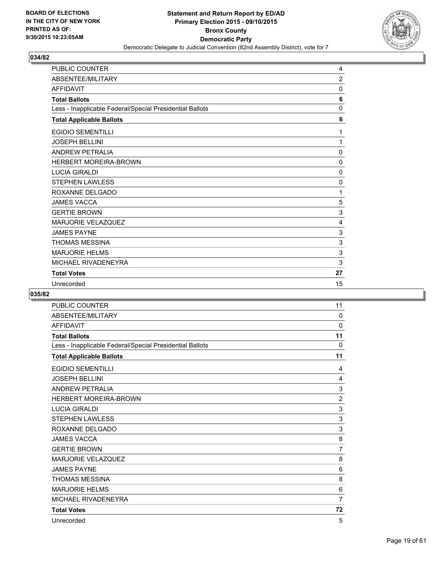

| <b>PUBLIC COUNTER</b>                                    | 4              |
|----------------------------------------------------------|----------------|
| ABSENTEE/MILITARY                                        | $\overline{2}$ |
| <b>AFFIDAVIT</b>                                         | 0              |
| <b>Total Ballots</b>                                     | 6              |
| Less - Inapplicable Federal/Special Presidential Ballots | $\mathbf 0$    |
| <b>Total Applicable Ballots</b>                          | 6              |
| <b>EGIDIO SEMENTILLI</b>                                 | 1              |
| <b>JOSEPH BELLINI</b>                                    | 1              |
| <b>ANDREW PETRALIA</b>                                   | $\Omega$       |
| <b>HERBERT MOREIRA-BROWN</b>                             | 0              |
| <b>LUCIA GIRALDI</b>                                     | $\mathbf 0$    |
| <b>STEPHEN LAWLESS</b>                                   | 0              |
| ROXANNE DELGADO                                          | 1              |
| <b>JAMES VACCA</b>                                       | 5              |
| <b>GERTIE BROWN</b>                                      | 3              |
| <b>MARJORIE VELAZQUEZ</b>                                | 4              |
| <b>JAMES PAYNE</b>                                       | 3              |
| <b>THOMAS MESSINA</b>                                    | 3              |
| <b>MARJORIE HELMS</b>                                    | 3              |
| MICHAEL RIVADENEYRA                                      | 3              |
| <b>Total Votes</b>                                       | 27             |
| Unrecorded                                               | 15             |

| <b>PUBLIC COUNTER</b>                                    | 11             |
|----------------------------------------------------------|----------------|
| ABSENTEE/MILITARY                                        | $\mathbf{0}$   |
| <b>AFFIDAVIT</b>                                         | 0              |
| <b>Total Ballots</b>                                     | 11             |
| Less - Inapplicable Federal/Special Presidential Ballots | $\Omega$       |
| <b>Total Applicable Ballots</b>                          | 11             |
| <b>EGIDIO SEMENTILLI</b>                                 | 4              |
| <b>JOSEPH BELLINI</b>                                    | 4              |
| <b>ANDREW PETRALIA</b>                                   | 3              |
| <b>HERBERT MOREIRA-BROWN</b>                             | $\overline{2}$ |
| <b>LUCIA GIRALDI</b>                                     | 3              |
| <b>STEPHEN LAWLESS</b>                                   | 3              |
| ROXANNE DELGADO                                          | 3              |
| <b>JAMES VACCA</b>                                       | 8              |
| <b>GERTIE BROWN</b>                                      | $\overline{7}$ |
| <b>MARJORIE VELAZQUEZ</b>                                | 8              |
| <b>JAMES PAYNE</b>                                       | 6              |
| <b>THOMAS MESSINA</b>                                    | 8              |
| <b>MARJORIE HELMS</b>                                    | 6              |
| MICHAEL RIVADENEYRA                                      | $\overline{7}$ |
| <b>Total Votes</b>                                       | 72             |
| Unrecorded                                               | 5              |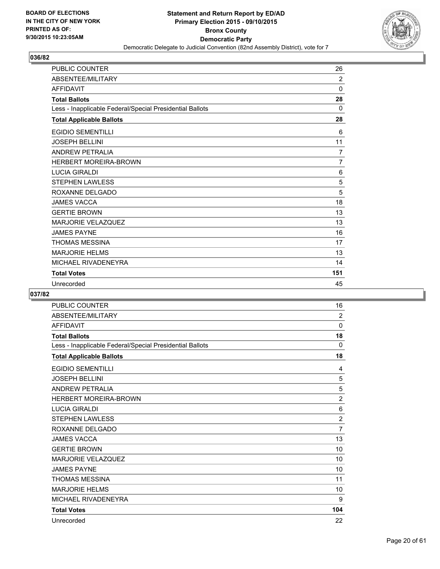

| <b>PUBLIC COUNTER</b>                                    | 26             |
|----------------------------------------------------------|----------------|
| ABSENTEE/MILITARY                                        | 2              |
| <b>AFFIDAVIT</b>                                         | $\Omega$       |
| <b>Total Ballots</b>                                     | 28             |
| Less - Inapplicable Federal/Special Presidential Ballots | $\mathbf{0}$   |
| <b>Total Applicable Ballots</b>                          | 28             |
| <b>EGIDIO SEMENTILLI</b>                                 | 6              |
| <b>JOSEPH BELLINI</b>                                    | 11             |
| <b>ANDREW PETRALIA</b>                                   | 7              |
| <b>HERBERT MOREIRA-BROWN</b>                             | $\overline{7}$ |
| <b>LUCIA GIRALDI</b>                                     | 6              |
| <b>STEPHEN LAWLESS</b>                                   | 5              |
| ROXANNE DELGADO                                          | 5              |
| <b>JAMES VACCA</b>                                       | 18             |
| <b>GERTIE BROWN</b>                                      | 13             |
| <b>MARJORIE VELAZQUEZ</b>                                | 13             |
| <b>JAMES PAYNE</b>                                       | 16             |
| <b>THOMAS MESSINA</b>                                    | 17             |
| <b>MARJORIE HELMS</b>                                    | 13             |
| MICHAEL RIVADENEYRA                                      | 14             |
| <b>Total Votes</b>                                       | 151            |
| Unrecorded                                               | 45             |

| <b>PUBLIC COUNTER</b>                                    | 16             |
|----------------------------------------------------------|----------------|
| ABSENTEE/MILITARY                                        | $\overline{2}$ |
| <b>AFFIDAVIT</b>                                         | 0              |
| <b>Total Ballots</b>                                     | 18             |
| Less - Inapplicable Federal/Special Presidential Ballots | $\mathbf{0}$   |
| <b>Total Applicable Ballots</b>                          | 18             |
| <b>EGIDIO SEMENTILLI</b>                                 | 4              |
| <b>JOSEPH BELLINI</b>                                    | 5              |
| <b>ANDREW PETRALIA</b>                                   | 5              |
| <b>HERBERT MOREIRA-BROWN</b>                             | $\overline{2}$ |
| <b>LUCIA GIRALDI</b>                                     | 6              |
| <b>STEPHEN LAWLESS</b>                                   | $\overline{2}$ |
| ROXANNE DELGADO                                          | $\overline{7}$ |
| <b>JAMES VACCA</b>                                       | 13             |
| <b>GERTIE BROWN</b>                                      | 10             |
| <b>MARJORIE VELAZQUEZ</b>                                | 10             |
| <b>JAMES PAYNE</b>                                       | 10             |
| <b>THOMAS MESSINA</b>                                    | 11             |
| <b>MARJORIE HELMS</b>                                    | 10             |
| MICHAEL RIVADENEYRA                                      | 9              |
| <b>Total Votes</b>                                       | 104            |
| Unrecorded                                               | 22             |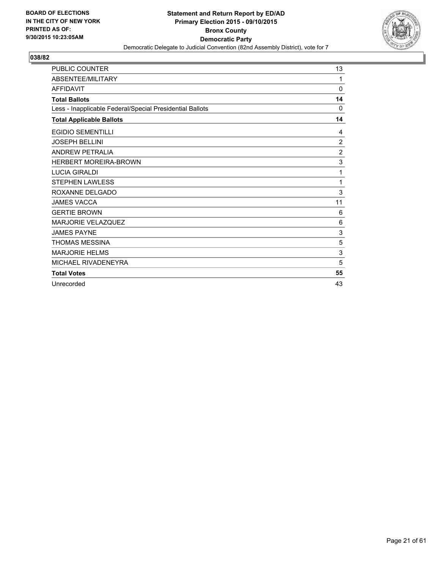

| <b>PUBLIC COUNTER</b>                                    | 13             |
|----------------------------------------------------------|----------------|
| ABSENTEE/MILITARY                                        | 1              |
| <b>AFFIDAVIT</b>                                         | 0              |
| <b>Total Ballots</b>                                     | 14             |
| Less - Inapplicable Federal/Special Presidential Ballots | 0              |
| <b>Total Applicable Ballots</b>                          | 14             |
| <b>EGIDIO SEMENTILLI</b>                                 | 4              |
| <b>JOSEPH BELLINI</b>                                    | $\overline{2}$ |
| <b>ANDREW PETRALIA</b>                                   | $\overline{2}$ |
| <b>HERBERT MOREIRA-BROWN</b>                             | 3              |
| <b>LUCIA GIRALDI</b>                                     | 1              |
| <b>STEPHEN LAWLESS</b>                                   | 1              |
| ROXANNE DELGADO                                          | 3              |
| <b>JAMES VACCA</b>                                       | 11             |
| <b>GERTIE BROWN</b>                                      | 6              |
| <b>MARJORIE VELAZQUEZ</b>                                | 6              |
| <b>JAMES PAYNE</b>                                       | 3              |
| <b>THOMAS MESSINA</b>                                    | 5              |
| <b>MARJORIE HELMS</b>                                    | 3              |
| MICHAEL RIVADENEYRA                                      | 5              |
| <b>Total Votes</b>                                       | 55             |
| Unrecorded                                               | 43             |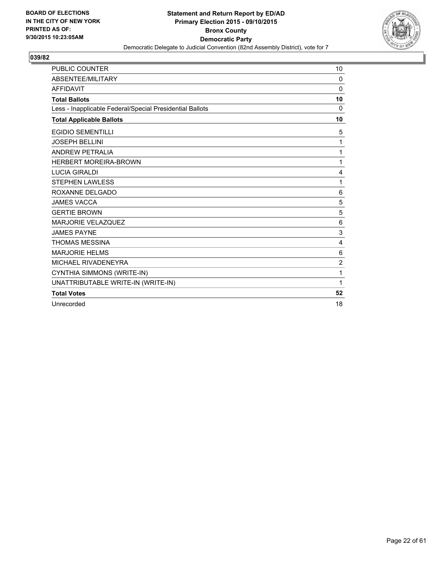

| <b>PUBLIC COUNTER</b>                                    | 10             |
|----------------------------------------------------------|----------------|
| <b>ABSENTEE/MILITARY</b>                                 | 0              |
| <b>AFFIDAVIT</b>                                         | 0              |
| <b>Total Ballots</b>                                     | 10             |
| Less - Inapplicable Federal/Special Presidential Ballots | $\Omega$       |
| <b>Total Applicable Ballots</b>                          | 10             |
| <b>EGIDIO SEMENTILLI</b>                                 | 5              |
| <b>JOSEPH BELLINI</b>                                    | 1              |
| <b>ANDREW PETRALIA</b>                                   | 1              |
| <b>HERBERT MOREIRA-BROWN</b>                             | 1              |
| <b>LUCIA GIRALDI</b>                                     | 4              |
| <b>STEPHEN LAWLESS</b>                                   | 1              |
| ROXANNE DELGADO                                          | 6              |
| <b>JAMES VACCA</b>                                       | 5              |
| <b>GERTIE BROWN</b>                                      | 5              |
| <b>MARJORIE VELAZQUEZ</b>                                | 6              |
| <b>JAMES PAYNE</b>                                       | 3              |
| THOMAS MESSINA                                           | 4              |
| <b>MARJORIE HELMS</b>                                    | 6              |
| MICHAEL RIVADENEYRA                                      | $\overline{2}$ |
| CYNTHIA SIMMONS (WRITE-IN)                               | 1              |
| UNATTRIBUTABLE WRITE-IN (WRITE-IN)                       | 1              |
| <b>Total Votes</b>                                       | 52             |
| Unrecorded                                               | 18             |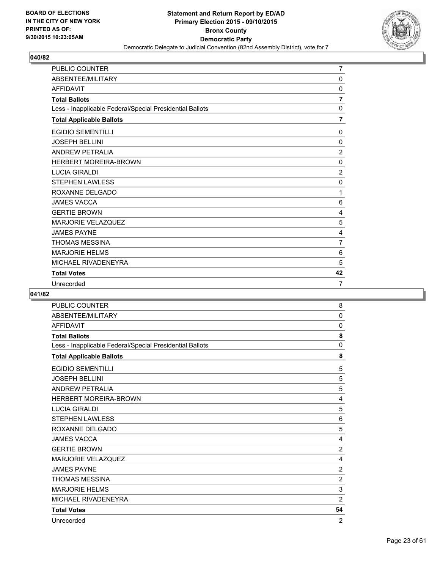

| <b>PUBLIC COUNTER</b>                                    | $\overline{7}$ |
|----------------------------------------------------------|----------------|
| ABSENTEE/MILITARY                                        | $\mathbf{0}$   |
| <b>AFFIDAVIT</b>                                         | 0              |
| <b>Total Ballots</b>                                     | $\overline{7}$ |
| Less - Inapplicable Federal/Special Presidential Ballots | $\mathbf{0}$   |
| <b>Total Applicable Ballots</b>                          | $\overline{7}$ |
| <b>EGIDIO SEMENTILLI</b>                                 | 0              |
| <b>JOSEPH BELLINI</b>                                    | 0              |
| <b>ANDREW PETRALIA</b>                                   | $\overline{2}$ |
| <b>HERBERT MOREIRA-BROWN</b>                             | $\Omega$       |
| <b>LUCIA GIRALDI</b>                                     | $\overline{2}$ |
| <b>STEPHEN LAWLESS</b>                                   | 0              |
| ROXANNE DELGADO                                          | 1              |
| <b>JAMES VACCA</b>                                       | 6              |
| <b>GERTIE BROWN</b>                                      | 4              |
| <b>MARJORIE VELAZQUEZ</b>                                | 5              |
| <b>JAMES PAYNE</b>                                       | 4              |
| <b>THOMAS MESSINA</b>                                    | 7              |
| <b>MARJORIE HELMS</b>                                    | 6              |
| MICHAEL RIVADENEYRA                                      | 5              |
| <b>Total Votes</b>                                       | 42             |
| Unrecorded                                               | $\overline{7}$ |

| <b>PUBLIC COUNTER</b>                                    | 8              |
|----------------------------------------------------------|----------------|
| ABSENTEE/MILITARY                                        | $\mathbf{0}$   |
| <b>AFFIDAVIT</b>                                         | 0              |
| <b>Total Ballots</b>                                     | 8              |
| Less - Inapplicable Federal/Special Presidential Ballots | 0              |
| <b>Total Applicable Ballots</b>                          | 8              |
| <b>EGIDIO SEMENTILLI</b>                                 | 5              |
| <b>JOSEPH BELLINI</b>                                    | 5              |
| <b>ANDREW PETRALIA</b>                                   | 5              |
| <b>HERBERT MOREIRA-BROWN</b>                             | 4              |
| <b>LUCIA GIRALDI</b>                                     | 5              |
| <b>STEPHEN LAWLESS</b>                                   | 6              |
| ROXANNE DELGADO                                          | 5              |
| <b>JAMES VACCA</b>                                       | 4              |
| <b>GERTIE BROWN</b>                                      | $\overline{2}$ |
| <b>MARJORIE VELAZQUEZ</b>                                | 4              |
| <b>JAMES PAYNE</b>                                       | $\overline{2}$ |
| <b>THOMAS MESSINA</b>                                    | $\overline{2}$ |
| <b>MARJORIE HELMS</b>                                    | 3              |
| MICHAEL RIVADENEYRA                                      | 2              |
| <b>Total Votes</b>                                       | 54             |
| Unrecorded                                               | $\overline{2}$ |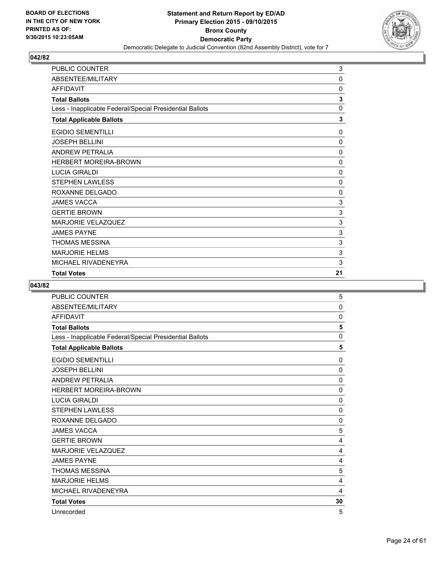

| PUBLIC COUNTER                                           | 3            |
|----------------------------------------------------------|--------------|
| ABSENTEE/MILITARY                                        | 0            |
| <b>AFFIDAVIT</b>                                         | 0            |
| <b>Total Ballots</b>                                     | 3            |
| Less - Inapplicable Federal/Special Presidential Ballots | 0            |
| <b>Total Applicable Ballots</b>                          | 3            |
| <b>EGIDIO SEMENTILLI</b>                                 | 0            |
| <b>JOSEPH BELLINI</b>                                    | 0            |
| <b>ANDREW PETRALIA</b>                                   | 0            |
| <b>HERBERT MOREIRA-BROWN</b>                             | 0            |
| <b>LUCIA GIRALDI</b>                                     | 0            |
| <b>STEPHEN LAWLESS</b>                                   | 0            |
| ROXANNE DELGADO                                          | 0            |
| <b>JAMES VACCA</b>                                       | 3            |
| <b>GERTIE BROWN</b>                                      | 3            |
| <b>MARJORIE VELAZQUEZ</b>                                | 3            |
| <b>JAMES PAYNE</b>                                       | $\mathbf{3}$ |
| <b>THOMAS MESSINA</b>                                    | $\mathsf 3$  |
| <b>MARJORIE HELMS</b>                                    | 3            |
| MICHAEL RIVADENEYRA                                      | 3            |
| <b>Total Votes</b>                                       | 21           |

| <b>PUBLIC COUNTER</b>                                    | 5           |
|----------------------------------------------------------|-------------|
| ABSENTEE/MILITARY                                        | 0           |
| <b>AFFIDAVIT</b>                                         | 0           |
| <b>Total Ballots</b>                                     | 5           |
| Less - Inapplicable Federal/Special Presidential Ballots | 0           |
| <b>Total Applicable Ballots</b>                          | 5           |
| <b>EGIDIO SEMENTILLI</b>                                 | 0           |
| <b>JOSEPH BELLINI</b>                                    | 0           |
| <b>ANDREW PETRALIA</b>                                   | $\mathbf 0$ |
| <b>HERBERT MOREIRA-BROWN</b>                             | $\mathbf 0$ |
| <b>LUCIA GIRALDI</b>                                     | 0           |
| <b>STEPHEN LAWLESS</b>                                   | $\mathbf 0$ |
| ROXANNE DELGADO                                          | $\mathbf 0$ |
| <b>JAMES VACCA</b>                                       | 5           |
| <b>GERTIE BROWN</b>                                      | 4           |
| <b>MARJORIE VELAZQUEZ</b>                                | 4           |
| <b>JAMES PAYNE</b>                                       | 4           |
| <b>THOMAS MESSINA</b>                                    | 5           |
| <b>MARJORIE HELMS</b>                                    | 4           |
| MICHAEL RIVADENEYRA                                      | 4           |
| <b>Total Votes</b>                                       | 30          |
| Unrecorded                                               | 5           |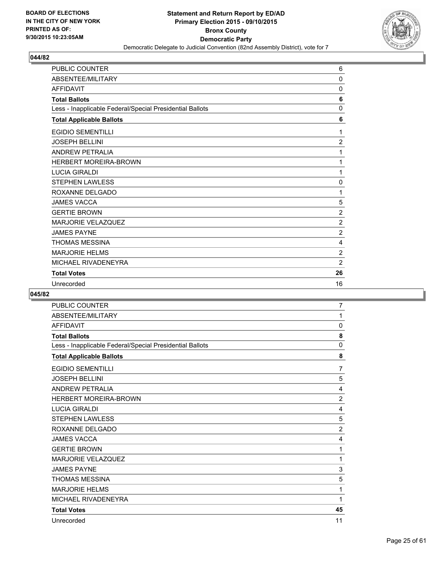

| <b>PUBLIC COUNTER</b>                                    | 6              |
|----------------------------------------------------------|----------------|
| ABSENTEE/MILITARY                                        | $\mathbf 0$    |
| <b>AFFIDAVIT</b>                                         | 0              |
| <b>Total Ballots</b>                                     | 6              |
| Less - Inapplicable Federal/Special Presidential Ballots | 0              |
| <b>Total Applicable Ballots</b>                          | 6              |
| <b>EGIDIO SEMENTILLI</b>                                 | 1              |
| <b>JOSEPH BELLINI</b>                                    | $\overline{2}$ |
| <b>ANDREW PETRALIA</b>                                   | 1              |
| <b>HERBERT MOREIRA-BROWN</b>                             | 1              |
| <b>LUCIA GIRALDI</b>                                     | 1              |
| <b>STEPHEN LAWLESS</b>                                   | 0              |
| ROXANNE DELGADO                                          | 1              |
| <b>JAMES VACCA</b>                                       | 5              |
| <b>GERTIE BROWN</b>                                      | $\overline{2}$ |
| <b>MARJORIE VELAZQUEZ</b>                                | $\overline{2}$ |
| <b>JAMES PAYNE</b>                                       | $\overline{2}$ |
| <b>THOMAS MESSINA</b>                                    | 4              |
| <b>MARJORIE HELMS</b>                                    | $\overline{2}$ |
| MICHAEL RIVADENEYRA                                      | $\overline{2}$ |
| <b>Total Votes</b>                                       | 26             |
| Unrecorded                                               | 16             |

| <b>PUBLIC COUNTER</b>                                    | 7              |
|----------------------------------------------------------|----------------|
| ABSENTEE/MILITARY                                        | 1              |
| <b>AFFIDAVIT</b>                                         | 0              |
| <b>Total Ballots</b>                                     | 8              |
| Less - Inapplicable Federal/Special Presidential Ballots | 0              |
| <b>Total Applicable Ballots</b>                          | 8              |
| <b>EGIDIO SEMENTILLI</b>                                 | $\overline{7}$ |
| <b>JOSEPH BELLINI</b>                                    | 5              |
| <b>ANDREW PETRALIA</b>                                   | 4              |
| <b>HERBERT MOREIRA-BROWN</b>                             | $\overline{2}$ |
| <b>LUCIA GIRALDI</b>                                     | 4              |
| <b>STEPHEN LAWLESS</b>                                   | 5              |
| ROXANNE DELGADO                                          | $\overline{2}$ |
| <b>JAMES VACCA</b>                                       | 4              |
| <b>GERTIE BROWN</b>                                      | 1              |
| <b>MARJORIE VELAZQUEZ</b>                                | 1              |
| <b>JAMES PAYNE</b>                                       | 3              |
| <b>THOMAS MESSINA</b>                                    | 5              |
| <b>MARJORIE HELMS</b>                                    | 1              |
| MICHAEL RIVADENEYRA                                      | 1              |
| <b>Total Votes</b>                                       | 45             |
| Unrecorded                                               | 11             |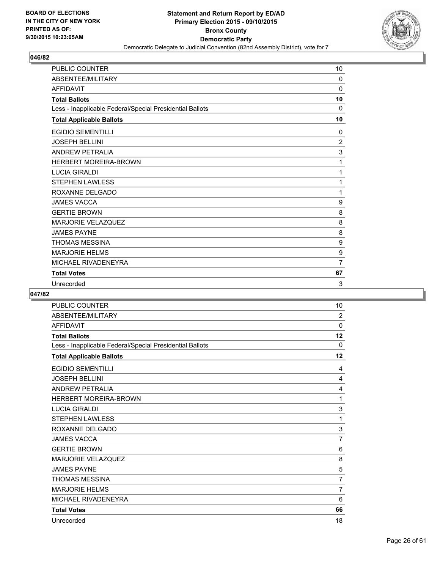

| <b>PUBLIC COUNTER</b>                                    | 10             |
|----------------------------------------------------------|----------------|
| ABSENTEE/MILITARY                                        | 0              |
| <b>AFFIDAVIT</b>                                         | $\mathbf 0$    |
| <b>Total Ballots</b>                                     | 10             |
| Less - Inapplicable Federal/Special Presidential Ballots | $\Omega$       |
| <b>Total Applicable Ballots</b>                          | 10             |
| <b>EGIDIO SEMENTILLI</b>                                 | 0              |
| <b>JOSEPH BELLINI</b>                                    | $\overline{c}$ |
| <b>ANDREW PETRALIA</b>                                   | 3              |
| <b>HERBERT MOREIRA-BROWN</b>                             | 1              |
| <b>LUCIA GIRALDI</b>                                     | 1              |
| <b>STEPHEN LAWLESS</b>                                   | 1              |
| ROXANNE DELGADO                                          | 1              |
| <b>JAMES VACCA</b>                                       | 9              |
| <b>GERTIE BROWN</b>                                      | 8              |
| <b>MARJORIE VELAZQUEZ</b>                                | 8              |
| <b>JAMES PAYNE</b>                                       | 8              |
| <b>THOMAS MESSINA</b>                                    | 9              |
| <b>MARJORIE HELMS</b>                                    | 9              |
| MICHAEL RIVADENEYRA                                      | $\overline{7}$ |
| <b>Total Votes</b>                                       | 67             |
| Unrecorded                                               | 3              |

| <b>PUBLIC COUNTER</b>                                    | 10             |
|----------------------------------------------------------|----------------|
| ABSENTEE/MILITARY                                        | 2              |
| <b>AFFIDAVIT</b>                                         | 0              |
| <b>Total Ballots</b>                                     | 12             |
| Less - Inapplicable Federal/Special Presidential Ballots | $\mathbf{0}$   |
| <b>Total Applicable Ballots</b>                          | 12             |
| <b>EGIDIO SEMENTILLI</b>                                 | 4              |
| <b>JOSEPH BELLINI</b>                                    | 4              |
| <b>ANDREW PETRALIA</b>                                   | 4              |
| <b>HERBERT MOREIRA-BROWN</b>                             | 1              |
| <b>LUCIA GIRALDI</b>                                     | 3              |
| <b>STEPHEN LAWLESS</b>                                   | 1              |
| ROXANNE DELGADO                                          | 3              |
| <b>JAMES VACCA</b>                                       | 7              |
| <b>GERTIE BROWN</b>                                      | 6              |
| <b>MARJORIE VELAZQUEZ</b>                                | 8              |
| <b>JAMES PAYNE</b>                                       | 5              |
| <b>THOMAS MESSINA</b>                                    | $\overline{7}$ |
| <b>MARJORIE HELMS</b>                                    | $\overline{7}$ |
| MICHAEL RIVADENEYRA                                      | 6              |
| <b>Total Votes</b>                                       | 66             |
| Unrecorded                                               | 18             |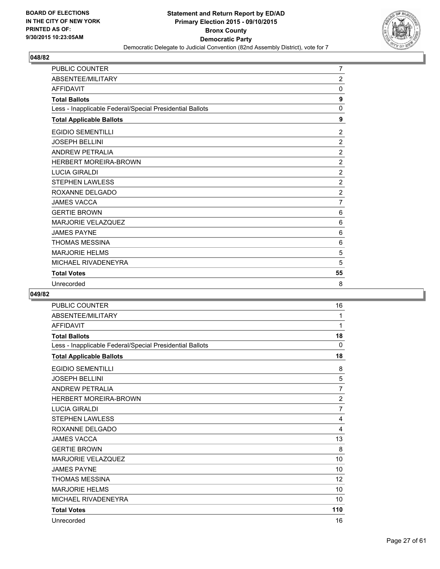

| PUBLIC COUNTER                                           | $\overline{7}$ |
|----------------------------------------------------------|----------------|
| ABSENTEE/MILITARY                                        | $\overline{2}$ |
| <b>AFFIDAVIT</b>                                         | 0              |
| <b>Total Ballots</b>                                     | 9              |
| Less - Inapplicable Federal/Special Presidential Ballots | $\mathbf 0$    |
| <b>Total Applicable Ballots</b>                          | 9              |
| <b>EGIDIO SEMENTILLI</b>                                 | 2              |
| <b>JOSEPH BELLINI</b>                                    | $\overline{2}$ |
| <b>ANDREW PETRALIA</b>                                   | $\overline{2}$ |
| <b>HERBERT MOREIRA-BROWN</b>                             | $\overline{2}$ |
| <b>LUCIA GIRALDI</b>                                     | $\overline{2}$ |
| <b>STEPHEN LAWLESS</b>                                   | $\overline{2}$ |
| ROXANNE DELGADO                                          | $\overline{c}$ |
| <b>JAMES VACCA</b>                                       | $\overline{7}$ |
| <b>GERTIE BROWN</b>                                      | 6              |
| <b>MARJORIE VELAZQUEZ</b>                                | 6              |
| <b>JAMES PAYNE</b>                                       | 6              |
| <b>THOMAS MESSINA</b>                                    | 6              |
| <b>MARJORIE HELMS</b>                                    | 5              |
| MICHAEL RIVADENEYRA                                      | 5              |
| <b>Total Votes</b>                                       | 55             |
| Unrecorded                                               | 8              |

| <b>PUBLIC COUNTER</b>                                    | 16                |
|----------------------------------------------------------|-------------------|
| ABSENTEE/MILITARY                                        | 1                 |
| <b>AFFIDAVIT</b>                                         | 1                 |
| <b>Total Ballots</b>                                     | 18                |
| Less - Inapplicable Federal/Special Presidential Ballots | 0                 |
| <b>Total Applicable Ballots</b>                          | 18                |
| <b>EGIDIO SEMENTILLI</b>                                 | 8                 |
| <b>JOSEPH BELLINI</b>                                    | 5                 |
| <b>ANDREW PETRALIA</b>                                   | $\overline{7}$    |
| <b>HERBERT MOREIRA-BROWN</b>                             | $\overline{2}$    |
| <b>LUCIA GIRALDI</b>                                     | $\overline{7}$    |
| <b>STEPHEN LAWLESS</b>                                   | 4                 |
| ROXANNE DELGADO                                          | 4                 |
| <b>JAMES VACCA</b>                                       | 13                |
| <b>GERTIE BROWN</b>                                      | 8                 |
| <b>MARJORIE VELAZQUEZ</b>                                | 10                |
| <b>JAMES PAYNE</b>                                       | 10                |
| <b>THOMAS MESSINA</b>                                    | $12 \overline{ }$ |
| <b>MARJORIE HELMS</b>                                    | 10                |
| MICHAEL RIVADENEYRA                                      | 10                |
| <b>Total Votes</b>                                       | 110               |
| Unrecorded                                               | 16                |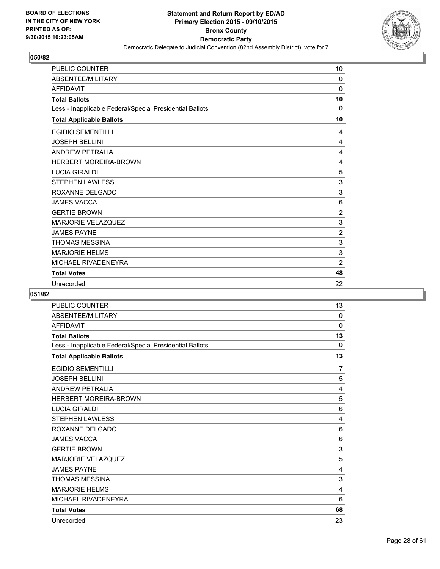

| PUBLIC COUNTER                                           | 10             |
|----------------------------------------------------------|----------------|
| ABSENTEE/MILITARY                                        | 0              |
| <b>AFFIDAVIT</b>                                         | 0              |
| <b>Total Ballots</b>                                     | 10             |
| Less - Inapplicable Federal/Special Presidential Ballots | 0              |
| <b>Total Applicable Ballots</b>                          | 10             |
| <b>EGIDIO SEMENTILLI</b>                                 | 4              |
| <b>JOSEPH BELLINI</b>                                    | 4              |
| <b>ANDREW PETRALIA</b>                                   | 4              |
| <b>HERBERT MOREIRA-BROWN</b>                             | 4              |
| <b>LUCIA GIRALDI</b>                                     | 5              |
| <b>STEPHEN LAWLESS</b>                                   | 3              |
| ROXANNE DELGADO                                          | 3              |
| <b>JAMES VACCA</b>                                       | 6              |
| <b>GERTIE BROWN</b>                                      | $\overline{2}$ |
| <b>MARJORIE VELAZQUEZ</b>                                | 3              |
| <b>JAMES PAYNE</b>                                       | $\overline{2}$ |
| <b>THOMAS MESSINA</b>                                    | 3              |
| <b>MARJORIE HELMS</b>                                    | 3              |
| MICHAEL RIVADENEYRA                                      | $\overline{2}$ |
| <b>Total Votes</b>                                       | 48             |
| Unrecorded                                               | 22             |

| <b>PUBLIC COUNTER</b>                                    | 13       |
|----------------------------------------------------------|----------|
| ABSENTEE/MILITARY                                        | $\Omega$ |
| <b>AFFIDAVIT</b>                                         | 0        |
| <b>Total Ballots</b>                                     | 13       |
| Less - Inapplicable Federal/Special Presidential Ballots | $\Omega$ |
| <b>Total Applicable Ballots</b>                          | 13       |
| <b>EGIDIO SEMENTILLI</b>                                 | 7        |
| <b>JOSEPH BELLINI</b>                                    | 5        |
| <b>ANDREW PETRALIA</b>                                   | 4        |
| <b>HERBERT MOREIRA-BROWN</b>                             | 5        |
| <b>LUCIA GIRALDI</b>                                     | 6        |
| <b>STEPHEN LAWLESS</b>                                   | 4        |
| ROXANNE DELGADO                                          | 6        |
| <b>JAMES VACCA</b>                                       | 6        |
| <b>GERTIE BROWN</b>                                      | 3        |
| <b>MARJORIE VELAZQUEZ</b>                                | 5        |
| <b>JAMES PAYNE</b>                                       | 4        |
| <b>THOMAS MESSINA</b>                                    | 3        |
| <b>MARJORIE HELMS</b>                                    | 4        |
| MICHAEL RIVADENEYRA                                      | 6        |
| <b>Total Votes</b>                                       | 68       |
| Unrecorded                                               | 23       |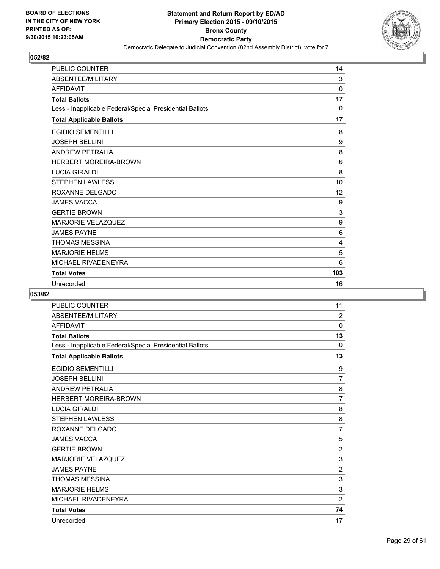

| <b>PUBLIC COUNTER</b>                                    | 14       |
|----------------------------------------------------------|----------|
| ABSENTEE/MILITARY                                        | 3        |
| <b>AFFIDAVIT</b>                                         | 0        |
| <b>Total Ballots</b>                                     | 17       |
| Less - Inapplicable Federal/Special Presidential Ballots | $\Omega$ |
| <b>Total Applicable Ballots</b>                          | 17       |
| <b>EGIDIO SEMENTILLI</b>                                 | 8        |
| <b>JOSEPH BELLINI</b>                                    | 9        |
| <b>ANDREW PETRALIA</b>                                   | 8        |
| <b>HERBERT MOREIRA-BROWN</b>                             | 6        |
| <b>LUCIA GIRALDI</b>                                     | 8        |
| <b>STEPHEN LAWLESS</b>                                   | 10       |
| ROXANNE DELGADO                                          | 12       |
| <b>JAMES VACCA</b>                                       | 9        |
| <b>GERTIE BROWN</b>                                      | 3        |
| <b>MARJORIE VELAZQUEZ</b>                                | 9        |
| <b>JAMES PAYNE</b>                                       | 6        |
| <b>THOMAS MESSINA</b>                                    | 4        |
| <b>MARJORIE HELMS</b>                                    | 5        |
| MICHAEL RIVADENEYRA                                      | 6        |
| <b>Total Votes</b>                                       | 103      |
| Unrecorded                                               | 16       |

| <b>PUBLIC COUNTER</b>                                    | 11             |
|----------------------------------------------------------|----------------|
| ABSENTEE/MILITARY                                        | $\overline{2}$ |
| <b>AFFIDAVIT</b>                                         | $\mathbf 0$    |
| <b>Total Ballots</b>                                     | 13             |
| Less - Inapplicable Federal/Special Presidential Ballots | $\mathbf{0}$   |
| <b>Total Applicable Ballots</b>                          | 13             |
| <b>EGIDIO SEMENTILLI</b>                                 | 9              |
| <b>JOSEPH BELLINI</b>                                    | $\overline{7}$ |
| <b>ANDREW PETRALIA</b>                                   | 8              |
| <b>HERBERT MOREIRA-BROWN</b>                             | $\overline{7}$ |
| <b>LUCIA GIRALDI</b>                                     | 8              |
| <b>STEPHEN LAWLESS</b>                                   | 8              |
| ROXANNE DELGADO                                          | $\overline{7}$ |
| <b>JAMES VACCA</b>                                       | 5              |
| <b>GERTIE BROWN</b>                                      | $\overline{2}$ |
| <b>MARJORIE VELAZQUEZ</b>                                | $\mathbf{3}$   |
| <b>JAMES PAYNE</b>                                       | $\overline{2}$ |
| <b>THOMAS MESSINA</b>                                    | 3              |
| <b>MARJORIE HELMS</b>                                    | $\mathsf 3$    |
| MICHAEL RIVADENEYRA                                      | $\overline{2}$ |
| <b>Total Votes</b>                                       | 74             |
| Unrecorded                                               | 17             |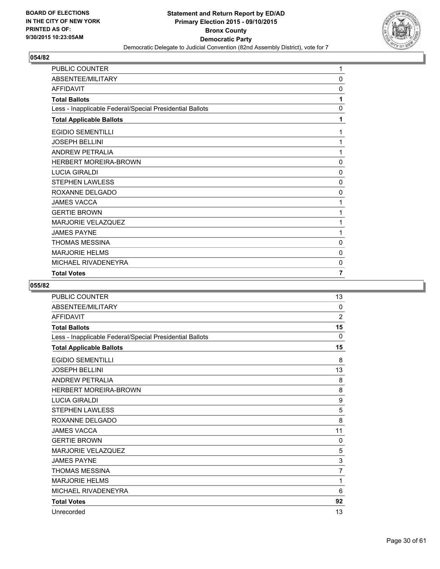

| PUBLIC COUNTER                                           | 1              |
|----------------------------------------------------------|----------------|
| ABSENTEE/MILITARY                                        | 0              |
| <b>AFFIDAVIT</b>                                         | 0              |
| <b>Total Ballots</b>                                     | 1              |
| Less - Inapplicable Federal/Special Presidential Ballots | 0              |
| <b>Total Applicable Ballots</b>                          | 1              |
| <b>EGIDIO SEMENTILLI</b>                                 | 1              |
| <b>JOSEPH BELLINI</b>                                    | 1              |
| <b>ANDREW PETRALIA</b>                                   | 1              |
| HERBERT MOREIRA-BROWN                                    | 0              |
| <b>LUCIA GIRALDI</b>                                     | 0              |
| <b>STEPHEN LAWLESS</b>                                   | $\mathbf 0$    |
| ROXANNE DELGADO                                          | 0              |
| <b>JAMES VACCA</b>                                       | 1              |
| <b>GERTIE BROWN</b>                                      | 1              |
| MARJORIE VELAZQUEZ                                       | 1              |
| <b>JAMES PAYNE</b>                                       | 1              |
| <b>THOMAS MESSINA</b>                                    | 0              |
| <b>MARJORIE HELMS</b>                                    | 0              |
| MICHAEL RIVADENEYRA                                      | 0              |
| <b>Total Votes</b>                                       | $\overline{7}$ |

| <b>PUBLIC COUNTER</b>                                    | 13             |
|----------------------------------------------------------|----------------|
| ABSENTEE/MILITARY                                        | 0              |
| <b>AFFIDAVIT</b>                                         | $\overline{2}$ |
| <b>Total Ballots</b>                                     | 15             |
| Less - Inapplicable Federal/Special Presidential Ballots | $\mathbf{0}$   |
| <b>Total Applicable Ballots</b>                          | 15             |
| <b>EGIDIO SEMENTILLI</b>                                 | 8              |
| <b>JOSEPH BELLINI</b>                                    | 13             |
| <b>ANDREW PETRALIA</b>                                   | 8              |
| <b>HERBERT MOREIRA-BROWN</b>                             | 8              |
| <b>LUCIA GIRALDI</b>                                     | 9              |
| <b>STEPHEN LAWLESS</b>                                   | 5              |
| ROXANNE DELGADO                                          | 8              |
| <b>JAMES VACCA</b>                                       | 11             |
| <b>GERTIE BROWN</b>                                      | 0              |
| <b>MARJORIE VELAZQUEZ</b>                                | 5              |
| <b>JAMES PAYNE</b>                                       | 3              |
| <b>THOMAS MESSINA</b>                                    | $\overline{7}$ |
| <b>MARJORIE HELMS</b>                                    | 1              |
| MICHAEL RIVADENEYRA                                      | 6              |
| <b>Total Votes</b>                                       | 92             |
| Unrecorded                                               | 13             |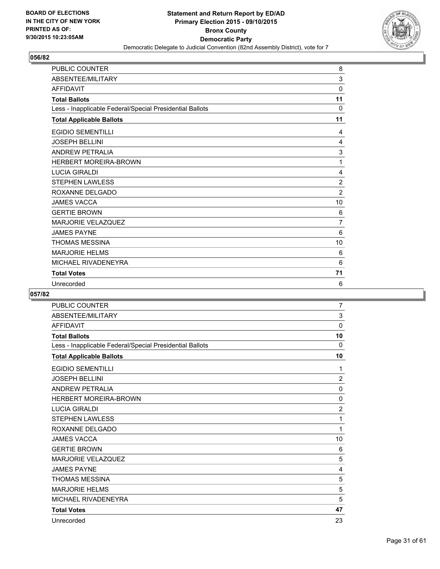

| <b>PUBLIC COUNTER</b>                                    | 8              |
|----------------------------------------------------------|----------------|
| ABSENTEE/MILITARY                                        | 3              |
| <b>AFFIDAVIT</b>                                         | $\mathbf 0$    |
| <b>Total Ballots</b>                                     | 11             |
| Less - Inapplicable Federal/Special Presidential Ballots | $\Omega$       |
| <b>Total Applicable Ballots</b>                          | 11             |
| <b>EGIDIO SEMENTILLI</b>                                 | 4              |
| <b>JOSEPH BELLINI</b>                                    | 4              |
| <b>ANDREW PETRALIA</b>                                   | 3              |
| <b>HERBERT MOREIRA-BROWN</b>                             | 1              |
| <b>LUCIA GIRALDI</b>                                     | 4              |
| <b>STEPHEN LAWLESS</b>                                   | $\overline{2}$ |
| ROXANNE DELGADO                                          | $\overline{2}$ |
| <b>JAMES VACCA</b>                                       | 10             |
| <b>GERTIE BROWN</b>                                      | 6              |
| <b>MARJORIE VELAZQUEZ</b>                                | $\overline{7}$ |
| <b>JAMES PAYNE</b>                                       | 6              |
| <b>THOMAS MESSINA</b>                                    | 10             |
| <b>MARJORIE HELMS</b>                                    | 6              |
| MICHAEL RIVADENEYRA                                      | 6              |
| <b>Total Votes</b>                                       | 71             |
| Unrecorded                                               | 6              |

| <b>PUBLIC COUNTER</b>                                    | $\overline{7}$ |
|----------------------------------------------------------|----------------|
| ABSENTEE/MILITARY                                        | 3              |
| <b>AFFIDAVIT</b>                                         | 0              |
| <b>Total Ballots</b>                                     | 10             |
| Less - Inapplicable Federal/Special Presidential Ballots | $\mathbf{0}$   |
| <b>Total Applicable Ballots</b>                          | 10             |
| <b>EGIDIO SEMENTILLI</b>                                 | 1              |
| <b>JOSEPH BELLINI</b>                                    | $\overline{2}$ |
| <b>ANDREW PETRALIA</b>                                   | $\mathbf 0$    |
| <b>HERBERT MOREIRA-BROWN</b>                             | 0              |
| <b>LUCIA GIRALDI</b>                                     | $\overline{2}$ |
| <b>STEPHEN LAWLESS</b>                                   | 1              |
| ROXANNE DELGADO                                          | 1              |
| <b>JAMES VACCA</b>                                       | 10             |
| <b>GERTIE BROWN</b>                                      | 6              |
| <b>MARJORIE VELAZQUEZ</b>                                | 5              |
| <b>JAMES PAYNE</b>                                       | 4              |
| <b>THOMAS MESSINA</b>                                    | 5              |
| <b>MARJORIE HELMS</b>                                    | 5              |
| MICHAEL RIVADENEYRA                                      | 5              |
| <b>Total Votes</b>                                       | 47             |
| Unrecorded                                               | 23             |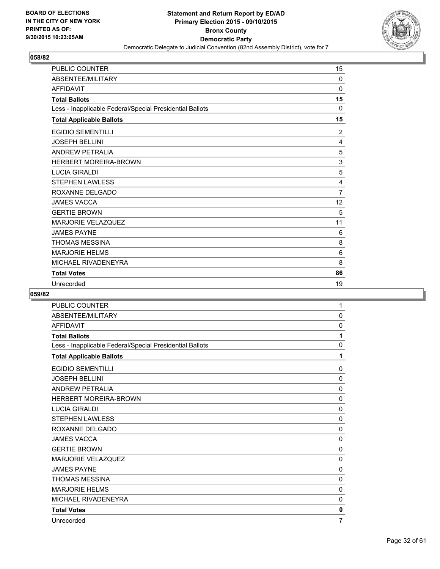

| PUBLIC COUNTER                                           | 15             |
|----------------------------------------------------------|----------------|
| ABSENTEE/MILITARY                                        | $\mathbf{0}$   |
| <b>AFFIDAVIT</b>                                         | $\Omega$       |
| <b>Total Ballots</b>                                     | 15             |
| Less - Inapplicable Federal/Special Presidential Ballots | 0              |
| <b>Total Applicable Ballots</b>                          | 15             |
| <b>EGIDIO SEMENTILLI</b>                                 | 2              |
| <b>JOSEPH BELLINI</b>                                    | 4              |
| <b>ANDREW PETRALIA</b>                                   | 5              |
| <b>HERBERT MOREIRA-BROWN</b>                             | 3              |
| <b>LUCIA GIRALDI</b>                                     | 5              |
| <b>STEPHEN LAWLESS</b>                                   | 4              |
| ROXANNE DELGADO                                          | $\overline{7}$ |
| <b>JAMES VACCA</b>                                       | 12             |
| <b>GERTIE BROWN</b>                                      | 5              |
| <b>MARJORIE VELAZQUEZ</b>                                | 11             |
| <b>JAMES PAYNE</b>                                       | 6              |
| <b>THOMAS MESSINA</b>                                    | 8              |
| <b>MARJORIE HELMS</b>                                    | 6              |
| MICHAEL RIVADENEYRA                                      | 8              |
| <b>Total Votes</b>                                       | 86             |
| Unrecorded                                               | 19             |

| <b>PUBLIC COUNTER</b>                                    | 1            |
|----------------------------------------------------------|--------------|
| ABSENTEE/MILITARY                                        | 0            |
| <b>AFFIDAVIT</b>                                         | 0            |
| <b>Total Ballots</b>                                     | 1            |
| Less - Inapplicable Federal/Special Presidential Ballots | $\mathbf{0}$ |
| <b>Total Applicable Ballots</b>                          | 1            |
| <b>EGIDIO SEMENTILLI</b>                                 | 0            |
| <b>JOSEPH BELLINI</b>                                    | 0            |
| <b>ANDREW PETRALIA</b>                                   | 0            |
| <b>HERBERT MOREIRA-BROWN</b>                             | 0            |
| <b>LUCIA GIRALDI</b>                                     | 0            |
| <b>STEPHEN LAWLESS</b>                                   | 0            |
| ROXANNE DELGADO                                          | 0            |
| <b>JAMES VACCA</b>                                       | 0            |
| <b>GERTIE BROWN</b>                                      | 0            |
| <b>MARJORIE VELAZQUEZ</b>                                | $\mathbf{0}$ |
| <b>JAMES PAYNE</b>                                       | 0            |
| <b>THOMAS MESSINA</b>                                    | 0            |
| <b>MARJORIE HELMS</b>                                    | $\mathbf{0}$ |
| MICHAEL RIVADENEYRA                                      | 0            |
| <b>Total Votes</b>                                       | 0            |
| Unrecorded                                               | 7            |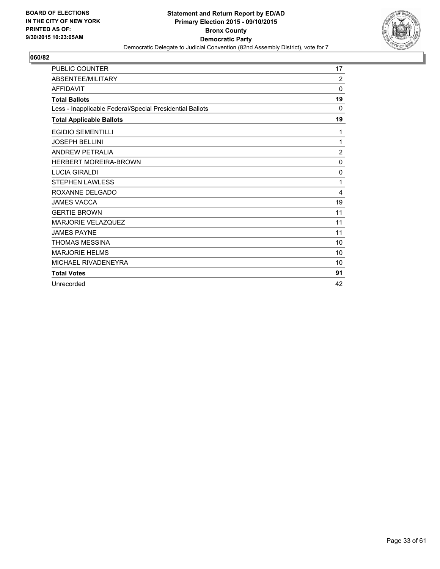

| <b>PUBLIC COUNTER</b>                                    | 17             |
|----------------------------------------------------------|----------------|
| ABSENTEE/MILITARY                                        | 2              |
| <b>AFFIDAVIT</b>                                         | $\Omega$       |
| <b>Total Ballots</b>                                     | 19             |
| Less - Inapplicable Federal/Special Presidential Ballots | 0              |
| <b>Total Applicable Ballots</b>                          | 19             |
| <b>EGIDIO SEMENTILLI</b>                                 | 1              |
| <b>JOSEPH BELLINI</b>                                    | 1              |
| <b>ANDREW PETRALIA</b>                                   | $\overline{2}$ |
| <b>HERBERT MOREIRA-BROWN</b>                             | 0              |
| <b>LUCIA GIRALDI</b>                                     | 0              |
| <b>STEPHEN LAWLESS</b>                                   | 1              |
| ROXANNE DELGADO                                          | 4              |
| <b>JAMES VACCA</b>                                       | 19             |
| <b>GERTIE BROWN</b>                                      | 11             |
| <b>MARJORIE VELAZQUEZ</b>                                | 11             |
| <b>JAMES PAYNE</b>                                       | 11             |
| <b>THOMAS MESSINA</b>                                    | 10             |
| <b>MARJORIE HELMS</b>                                    | 10             |
| MICHAEL RIVADENEYRA                                      | 10             |
| <b>Total Votes</b>                                       | 91             |
| Unrecorded                                               | 42             |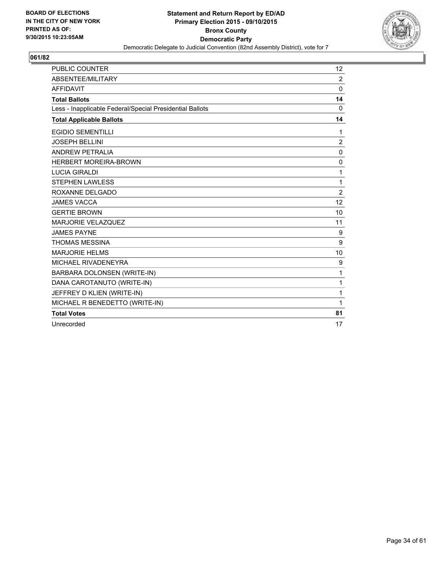

| <b>PUBLIC COUNTER</b>                                    | 12             |
|----------------------------------------------------------|----------------|
| ABSENTEE/MILITARY                                        | $\overline{2}$ |
| <b>AFFIDAVIT</b>                                         | 0              |
| <b>Total Ballots</b>                                     | 14             |
| Less - Inapplicable Federal/Special Presidential Ballots | $\Omega$       |
| <b>Total Applicable Ballots</b>                          | 14             |
| <b>EGIDIO SEMENTILLI</b>                                 | 1              |
| <b>JOSEPH BELLINI</b>                                    | $\overline{2}$ |
| <b>ANDREW PETRALIA</b>                                   | 0              |
| <b>HERBERT MOREIRA-BROWN</b>                             | 0              |
| <b>LUCIA GIRALDI</b>                                     | 1              |
| <b>STEPHEN LAWLESS</b>                                   | 1              |
| ROXANNE DELGADO                                          | $\overline{2}$ |
| <b>JAMES VACCA</b>                                       | 12             |
| <b>GERTIE BROWN</b>                                      | 10             |
| <b>MARJORIE VELAZQUEZ</b>                                | 11             |
| <b>JAMES PAYNE</b>                                       | 9              |
| <b>THOMAS MESSINA</b>                                    | 9              |
| <b>MARJORIE HELMS</b>                                    | 10             |
| MICHAEL RIVADENEYRA                                      | 9              |
| BARBARA DOLONSEN (WRITE-IN)                              | 1              |
| DANA CAROTANUTO (WRITE-IN)                               | 1              |
| JEFFREY D KLIEN (WRITE-IN)                               | 1              |
| MICHAEL R BENEDETTO (WRITE-IN)                           | 1              |
| <b>Total Votes</b>                                       | 81             |
| Unrecorded                                               | 17             |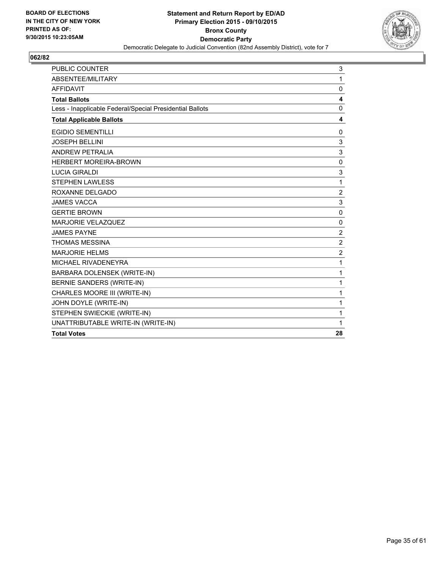

| <b>PUBLIC COUNTER</b>                                    | 3              |
|----------------------------------------------------------|----------------|
| ABSENTEE/MILITARY                                        | 1              |
| <b>AFFIDAVIT</b>                                         | $\mathbf{0}$   |
| <b>Total Ballots</b>                                     | 4              |
| Less - Inapplicable Federal/Special Presidential Ballots | 0              |
| <b>Total Applicable Ballots</b>                          | 4              |
| <b>EGIDIO SEMENTILLI</b>                                 | 0              |
| JOSEPH BELLINI                                           | 3              |
| <b>ANDREW PETRALIA</b>                                   | 3              |
| <b>HERBERT MOREIRA-BROWN</b>                             | $\Omega$       |
| <b>LUCIA GIRALDI</b>                                     | 3              |
| <b>STEPHEN LAWLESS</b>                                   | 1              |
| ROXANNE DELGADO                                          | $\overline{2}$ |
| <b>JAMES VACCA</b>                                       | 3              |
| <b>GERTIE BROWN</b>                                      | 0              |
| <b>MARJORIE VELAZQUEZ</b>                                | $\mathbf{0}$   |
| <b>JAMES PAYNE</b>                                       | $\overline{2}$ |
| <b>THOMAS MESSINA</b>                                    | $\overline{2}$ |
| <b>MARJORIE HELMS</b>                                    | 2              |
| MICHAEL RIVADENEYRA                                      | 1              |
| BARBARA DOLENSEK (WRITE-IN)                              | 1              |
| BERNIE SANDERS (WRITE-IN)                                | 1              |
| CHARLES MOORE III (WRITE-IN)                             | 1              |
| JOHN DOYLE (WRITE-IN)                                    | 1              |
| STEPHEN SWIECKIE (WRITE-IN)                              | 1              |
| UNATTRIBUTABLE WRITE-IN (WRITE-IN)                       | 1              |
| <b>Total Votes</b>                                       | 28             |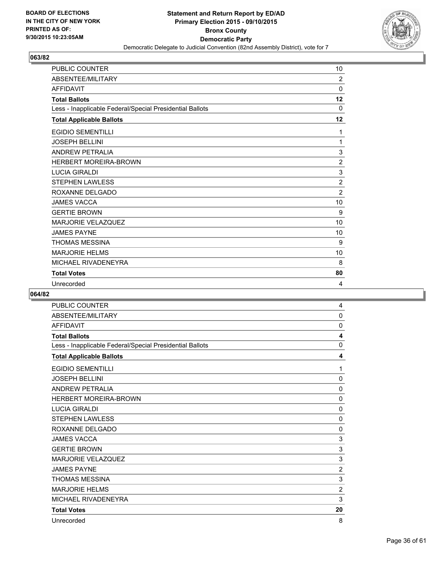

| <b>PUBLIC COUNTER</b>                                    | 10             |
|----------------------------------------------------------|----------------|
| ABSENTEE/MILITARY                                        | $\overline{2}$ |
| <b>AFFIDAVIT</b>                                         | $\mathbf 0$    |
| <b>Total Ballots</b>                                     | 12             |
| Less - Inapplicable Federal/Special Presidential Ballots | $\Omega$       |
| <b>Total Applicable Ballots</b>                          | $12 \,$        |
| <b>EGIDIO SEMENTILLI</b>                                 | 1              |
| <b>JOSEPH BELLINI</b>                                    | 1              |
| <b>ANDREW PETRALIA</b>                                   | 3              |
| <b>HERBERT MOREIRA-BROWN</b>                             | $\overline{2}$ |
| <b>LUCIA GIRALDI</b>                                     | 3              |
| <b>STEPHEN LAWLESS</b>                                   | $\overline{2}$ |
| ROXANNE DELGADO                                          | $\overline{2}$ |
| <b>JAMES VACCA</b>                                       | 10             |
| <b>GERTIE BROWN</b>                                      | 9              |
| <b>MARJORIE VELAZQUEZ</b>                                | 10             |
| <b>JAMES PAYNE</b>                                       | 10             |
| <b>THOMAS MESSINA</b>                                    | 9              |
| <b>MARJORIE HELMS</b>                                    | 10             |
| MICHAEL RIVADENEYRA                                      | 8              |
| <b>Total Votes</b>                                       | 80             |
| Unrecorded                                               | 4              |

| <b>PUBLIC COUNTER</b>                                    | 4              |
|----------------------------------------------------------|----------------|
| ABSENTEE/MILITARY                                        | 0              |
| <b>AFFIDAVIT</b>                                         | 0              |
| <b>Total Ballots</b>                                     | 4              |
| Less - Inapplicable Federal/Special Presidential Ballots | 0              |
| <b>Total Applicable Ballots</b>                          | 4              |
| <b>EGIDIO SEMENTILLI</b>                                 | 1              |
| <b>JOSEPH BELLINI</b>                                    | 0              |
| <b>ANDREW PETRALIA</b>                                   | $\mathbf 0$    |
| <b>HERBERT MOREIRA-BROWN</b>                             | $\mathbf 0$    |
| <b>LUCIA GIRALDI</b>                                     | 0              |
| <b>STEPHEN LAWLESS</b>                                   | $\mathbf 0$    |
| ROXANNE DELGADO                                          | $\mathbf 0$    |
| <b>JAMES VACCA</b>                                       | 3              |
| <b>GERTIE BROWN</b>                                      | 3              |
| <b>MARJORIE VELAZQUEZ</b>                                | $\mathbf{3}$   |
| <b>JAMES PAYNE</b>                                       | $\overline{2}$ |
| <b>THOMAS MESSINA</b>                                    | 3              |
| <b>MARJORIE HELMS</b>                                    | $\overline{2}$ |
| MICHAEL RIVADENEYRA                                      | 3              |
| <b>Total Votes</b>                                       | 20             |
| Unrecorded                                               | 8              |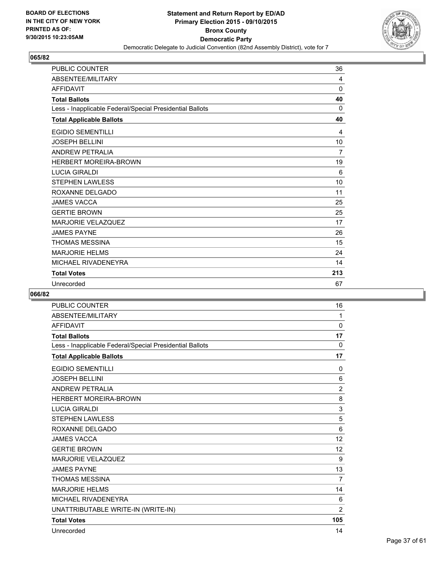

| <b>PUBLIC COUNTER</b>                                    | 36  |
|----------------------------------------------------------|-----|
| ABSENTEE/MILITARY                                        | 4   |
| <b>AFFIDAVIT</b>                                         | 0   |
| <b>Total Ballots</b>                                     | 40  |
| Less - Inapplicable Federal/Special Presidential Ballots | 0   |
| <b>Total Applicable Ballots</b>                          | 40  |
| <b>EGIDIO SEMENTILLI</b>                                 | 4   |
| <b>JOSEPH BELLINI</b>                                    | 10  |
| <b>ANDREW PETRALIA</b>                                   | 7   |
| <b>HERBERT MOREIRA-BROWN</b>                             | 19  |
| <b>LUCIA GIRALDI</b>                                     | 6   |
| <b>STEPHEN LAWLESS</b>                                   | 10  |
| ROXANNE DELGADO                                          | 11  |
| <b>JAMES VACCA</b>                                       | 25  |
| <b>GERTIE BROWN</b>                                      | 25  |
| <b>MARJORIE VELAZQUEZ</b>                                | 17  |
| <b>JAMES PAYNE</b>                                       | 26  |
| <b>THOMAS MESSINA</b>                                    | 15  |
| <b>MARJORIE HELMS</b>                                    | 24  |
| MICHAEL RIVADENEYRA                                      | 14  |
| <b>Total Votes</b>                                       | 213 |
| Unrecorded                                               | 67  |

| <b>PUBLIC COUNTER</b>                                    | 16             |
|----------------------------------------------------------|----------------|
| ABSENTEE/MILITARY                                        | 1              |
| <b>AFFIDAVIT</b>                                         | 0              |
| <b>Total Ballots</b>                                     | 17             |
| Less - Inapplicable Federal/Special Presidential Ballots | $\mathbf{0}$   |
| <b>Total Applicable Ballots</b>                          | 17             |
| <b>EGIDIO SEMENTILLI</b>                                 | 0              |
| <b>JOSEPH BELLINI</b>                                    | 6              |
| <b>ANDREW PETRALIA</b>                                   | $\overline{2}$ |
| <b>HERBERT MOREIRA-BROWN</b>                             | 8              |
| <b>LUCIA GIRALDI</b>                                     | 3              |
| <b>STEPHEN LAWLESS</b>                                   | 5              |
| ROXANNE DELGADO                                          | 6              |
| <b>JAMES VACCA</b>                                       | 12             |
| <b>GERTIE BROWN</b>                                      | 12             |
| <b>MARJORIE VELAZQUEZ</b>                                | 9              |
| <b>JAMES PAYNE</b>                                       | 13             |
| <b>THOMAS MESSINA</b>                                    | $\overline{7}$ |
| <b>MARJORIE HELMS</b>                                    | 14             |
| MICHAEL RIVADENEYRA                                      | 6              |
| UNATTRIBUTABLE WRITE-IN (WRITE-IN)                       | $\overline{2}$ |
| <b>Total Votes</b>                                       | 105            |
| Unrecorded                                               | 14             |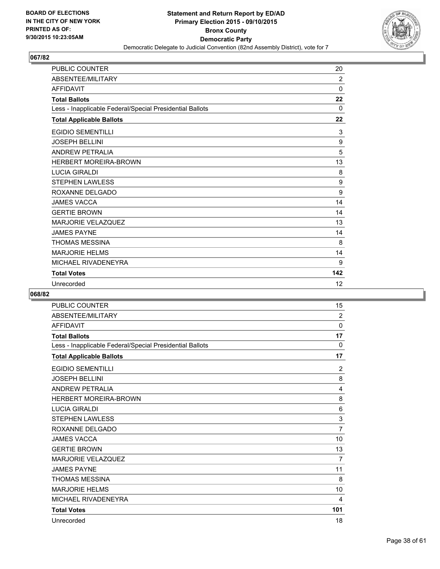

| <b>PUBLIC COUNTER</b>                                    | 20          |
|----------------------------------------------------------|-------------|
| ABSENTEE/MILITARY                                        | 2           |
| <b>AFFIDAVIT</b>                                         | $\mathbf 0$ |
| <b>Total Ballots</b>                                     | 22          |
| Less - Inapplicable Federal/Special Presidential Ballots | $\Omega$    |
| <b>Total Applicable Ballots</b>                          | 22          |
| <b>EGIDIO SEMENTILLI</b>                                 | 3           |
| <b>JOSEPH BELLINI</b>                                    | 9           |
| <b>ANDREW PETRALIA</b>                                   | 5           |
| <b>HERBERT MOREIRA-BROWN</b>                             | 13          |
| <b>LUCIA GIRALDI</b>                                     | 8           |
| <b>STEPHEN LAWLESS</b>                                   | 9           |
| ROXANNE DELGADO                                          | 9           |
| <b>JAMES VACCA</b>                                       | 14          |
| <b>GERTIE BROWN</b>                                      | 14          |
| <b>MARJORIE VELAZQUEZ</b>                                | 13          |
| <b>JAMES PAYNE</b>                                       | 14          |
| <b>THOMAS MESSINA</b>                                    | 8           |
| <b>MARJORIE HELMS</b>                                    | 14          |
| MICHAEL RIVADENEYRA                                      | 9           |
| <b>Total Votes</b>                                       | 142         |
| Unrecorded                                               | 12          |

| <b>PUBLIC COUNTER</b>                                    | 15             |
|----------------------------------------------------------|----------------|
| ABSENTEE/MILITARY                                        | $\overline{2}$ |
| <b>AFFIDAVIT</b>                                         | 0              |
| <b>Total Ballots</b>                                     | 17             |
| Less - Inapplicable Federal/Special Presidential Ballots | $\mathbf{0}$   |
| <b>Total Applicable Ballots</b>                          | 17             |
| <b>EGIDIO SEMENTILLI</b>                                 | $\overline{2}$ |
| <b>JOSEPH BELLINI</b>                                    | 8              |
| <b>ANDREW PETRALIA</b>                                   | $\overline{4}$ |
| <b>HERBERT MOREIRA-BROWN</b>                             | 8              |
| <b>LUCIA GIRALDI</b>                                     | 6              |
| <b>STEPHEN LAWLESS</b>                                   | 3              |
| ROXANNE DELGADO                                          | $\overline{7}$ |
| <b>JAMES VACCA</b>                                       | 10             |
| <b>GERTIE BROWN</b>                                      | 13             |
| <b>MARJORIE VELAZQUEZ</b>                                | 7              |
| <b>JAMES PAYNE</b>                                       | 11             |
| <b>THOMAS MESSINA</b>                                    | 8              |
| <b>MARJORIE HELMS</b>                                    | 10             |
| MICHAEL RIVADENEYRA                                      | 4              |
| <b>Total Votes</b>                                       | 101            |
| Unrecorded                                               | 18             |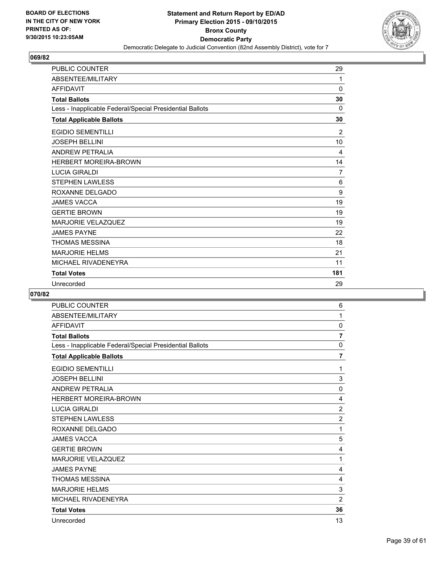

| <b>PUBLIC COUNTER</b>                                    | 29  |
|----------------------------------------------------------|-----|
| ABSENTEE/MILITARY                                        | 1   |
| <b>AFFIDAVIT</b>                                         | 0   |
| <b>Total Ballots</b>                                     | 30  |
| Less - Inapplicable Federal/Special Presidential Ballots | 0   |
| <b>Total Applicable Ballots</b>                          | 30  |
| <b>EGIDIO SEMENTILLI</b>                                 | 2   |
| <b>JOSEPH BELLINI</b>                                    | 10  |
| <b>ANDREW PETRALIA</b>                                   | 4   |
| <b>HERBERT MOREIRA-BROWN</b>                             | 14  |
| <b>LUCIA GIRALDI</b>                                     | 7   |
| <b>STEPHEN LAWLESS</b>                                   | 6   |
| ROXANNE DELGADO                                          | 9   |
| <b>JAMES VACCA</b>                                       | 19  |
| <b>GERTIE BROWN</b>                                      | 19  |
| <b>MARJORIE VELAZQUEZ</b>                                | 19  |
| <b>JAMES PAYNE</b>                                       | 22  |
| <b>THOMAS MESSINA</b>                                    | 18  |
| <b>MARJORIE HELMS</b>                                    | 21  |
| MICHAEL RIVADENEYRA                                      | 11  |
| <b>Total Votes</b>                                       | 181 |
| Unrecorded                                               | 29  |

| <b>PUBLIC COUNTER</b>                                    | 6              |
|----------------------------------------------------------|----------------|
| ABSENTEE/MILITARY                                        | 1              |
| <b>AFFIDAVIT</b>                                         | 0              |
| <b>Total Ballots</b>                                     | $\overline{7}$ |
| Less - Inapplicable Federal/Special Presidential Ballots | 0              |
| <b>Total Applicable Ballots</b>                          | $\overline{7}$ |
| <b>EGIDIO SEMENTILLI</b>                                 | 1              |
| <b>JOSEPH BELLINI</b>                                    | 3              |
| <b>ANDREW PETRALIA</b>                                   | $\mathbf 0$    |
| <b>HERBERT MOREIRA-BROWN</b>                             | 4              |
| <b>LUCIA GIRALDI</b>                                     | $\overline{2}$ |
| <b>STEPHEN LAWLESS</b>                                   | $\overline{2}$ |
| ROXANNE DELGADO                                          | 1              |
| <b>JAMES VACCA</b>                                       | 5              |
| <b>GERTIE BROWN</b>                                      | 4              |
| <b>MARJORIE VELAZQUEZ</b>                                | 1              |
| <b>JAMES PAYNE</b>                                       | 4              |
| <b>THOMAS MESSINA</b>                                    | 4              |
| <b>MARJORIE HELMS</b>                                    | 3              |
| MICHAEL RIVADENEYRA                                      | $\overline{2}$ |
| <b>Total Votes</b>                                       | 36             |
| Unrecorded                                               | 13             |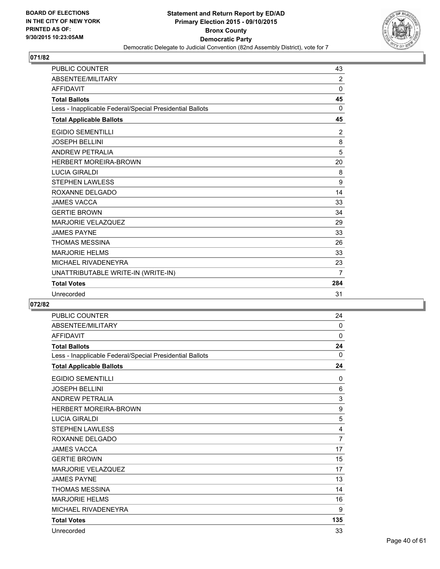

| <b>PUBLIC COUNTER</b>                                    | 43           |
|----------------------------------------------------------|--------------|
| ABSENTEE/MILITARY                                        | 2            |
| <b>AFFIDAVIT</b>                                         | $\mathbf 0$  |
| <b>Total Ballots</b>                                     | 45           |
| Less - Inapplicable Federal/Special Presidential Ballots | $\mathbf{0}$ |
| <b>Total Applicable Ballots</b>                          | 45           |
| <b>EGIDIO SEMENTILLI</b>                                 | 2            |
| <b>JOSEPH BELLINI</b>                                    | 8            |
| <b>ANDREW PETRALIA</b>                                   | 5            |
| <b>HERBERT MOREIRA-BROWN</b>                             | 20           |
| <b>LUCIA GIRALDI</b>                                     | 8            |
| <b>STEPHEN LAWLESS</b>                                   | 9            |
| ROXANNE DELGADO                                          | 14           |
| <b>JAMES VACCA</b>                                       | 33           |
| <b>GERTIE BROWN</b>                                      | 34           |
| <b>MARJORIE VELAZQUEZ</b>                                | 29           |
| <b>JAMES PAYNE</b>                                       | 33           |
| THOMAS MESSINA                                           | 26           |
| <b>MARJORIE HELMS</b>                                    | 33           |
| MICHAEL RIVADENEYRA                                      | 23           |
| UNATTRIBUTABLE WRITE-IN (WRITE-IN)                       | 7            |
| <b>Total Votes</b>                                       | 284          |
| Unrecorded                                               | 31           |

| <b>PUBLIC COUNTER</b>                                    | 24             |
|----------------------------------------------------------|----------------|
| ABSENTEE/MILITARY                                        | $\mathbf{0}$   |
| <b>AFFIDAVIT</b>                                         | 0              |
| <b>Total Ballots</b>                                     | 24             |
| Less - Inapplicable Federal/Special Presidential Ballots | $\Omega$       |
| <b>Total Applicable Ballots</b>                          | 24             |
| <b>EGIDIO SEMENTILLI</b>                                 | $\Omega$       |
| <b>JOSEPH BELLINI</b>                                    | 6              |
| ANDREW PETRALIA                                          | 3              |
| <b>HERBERT MOREIRA-BROWN</b>                             | 9              |
| <b>LUCIA GIRALDI</b>                                     | 5              |
| <b>STEPHEN LAWLESS</b>                                   | 4              |
| ROXANNE DELGADO                                          | $\overline{7}$ |
| <b>JAMES VACCA</b>                                       | 17             |
| <b>GERTIE BROWN</b>                                      | 15             |
| <b>MARJORIE VELAZQUEZ</b>                                | 17             |
| <b>JAMES PAYNE</b>                                       | 13             |
| <b>THOMAS MESSINA</b>                                    | 14             |
| <b>MARJORIE HELMS</b>                                    | 16             |
| MICHAEL RIVADENEYRA                                      | 9              |
| <b>Total Votes</b>                                       | 135            |
| Unrecorded                                               | 33             |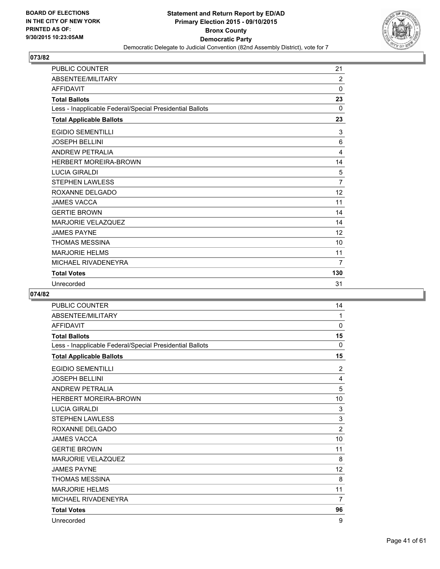

| <b>PUBLIC COUNTER</b>                                    | 21          |
|----------------------------------------------------------|-------------|
| ABSENTEE/MILITARY                                        | 2           |
| <b>AFFIDAVIT</b>                                         | $\mathbf 0$ |
| <b>Total Ballots</b>                                     | 23          |
| Less - Inapplicable Federal/Special Presidential Ballots | $\Omega$    |
| <b>Total Applicable Ballots</b>                          | 23          |
| <b>EGIDIO SEMENTILLI</b>                                 | 3           |
| <b>JOSEPH BELLINI</b>                                    | 6           |
| <b>ANDREW PETRALIA</b>                                   | 4           |
| <b>HERBERT MOREIRA-BROWN</b>                             | 14          |
| <b>LUCIA GIRALDI</b>                                     | 5           |
| <b>STEPHEN LAWLESS</b>                                   | 7           |
| ROXANNE DELGADO                                          | 12          |
| <b>JAMES VACCA</b>                                       | 11          |
| <b>GERTIE BROWN</b>                                      | 14          |
| <b>MARJORIE VELAZQUEZ</b>                                | 14          |
| <b>JAMES PAYNE</b>                                       | 12          |
| <b>THOMAS MESSINA</b>                                    | 10          |
| <b>MARJORIE HELMS</b>                                    | 11          |
| MICHAEL RIVADENEYRA                                      | 7           |
| <b>Total Votes</b>                                       | 130         |
| Unrecorded                                               | 31          |

| <b>PUBLIC COUNTER</b>                                    | 14             |
|----------------------------------------------------------|----------------|
| ABSENTEE/MILITARY                                        | 1              |
| <b>AFFIDAVIT</b>                                         | 0              |
| <b>Total Ballots</b>                                     | 15             |
| Less - Inapplicable Federal/Special Presidential Ballots | $\mathbf{0}$   |
| <b>Total Applicable Ballots</b>                          | 15             |
| <b>EGIDIO SEMENTILLI</b>                                 | $\overline{2}$ |
| <b>JOSEPH BELLINI</b>                                    | 4              |
| <b>ANDREW PETRALIA</b>                                   | 5              |
| <b>HERBERT MOREIRA-BROWN</b>                             | 10             |
| <b>LUCIA GIRALDI</b>                                     | 3              |
| <b>STEPHEN LAWLESS</b>                                   | 3              |
| ROXANNE DELGADO                                          | $\overline{2}$ |
| <b>JAMES VACCA</b>                                       | 10             |
| <b>GERTIE BROWN</b>                                      | 11             |
| <b>MARJORIE VELAZQUEZ</b>                                | 8              |
| <b>JAMES PAYNE</b>                                       | 12             |
| <b>THOMAS MESSINA</b>                                    | 8              |
| <b>MARJORIE HELMS</b>                                    | 11             |
| MICHAEL RIVADENEYRA                                      | $\overline{7}$ |
| <b>Total Votes</b>                                       | 96             |
| Unrecorded                                               | 9              |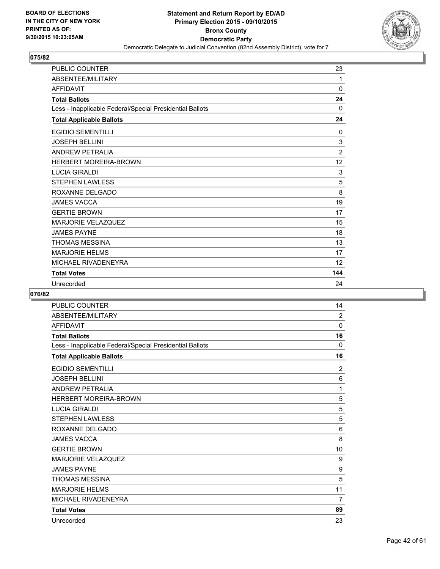

| <b>PUBLIC COUNTER</b>                                    | 23             |
|----------------------------------------------------------|----------------|
| ABSENTEE/MILITARY                                        | 1              |
| <b>AFFIDAVIT</b>                                         | $\Omega$       |
| <b>Total Ballots</b>                                     | 24             |
| Less - Inapplicable Federal/Special Presidential Ballots | 0              |
| <b>Total Applicable Ballots</b>                          | 24             |
| <b>EGIDIO SEMENTILLI</b>                                 | 0              |
| <b>JOSEPH BELLINI</b>                                    | 3              |
| <b>ANDREW PETRALIA</b>                                   | $\overline{2}$ |
| <b>HERBERT MOREIRA-BROWN</b>                             | 12             |
| <b>LUCIA GIRALDI</b>                                     | 3              |
| <b>STEPHEN LAWLESS</b>                                   | 5              |
| ROXANNE DELGADO                                          | 8              |
| <b>JAMES VACCA</b>                                       | 19             |
| <b>GERTIE BROWN</b>                                      | 17             |
| <b>MARJORIE VELAZQUEZ</b>                                | 15             |
| <b>JAMES PAYNE</b>                                       | 18             |
| <b>THOMAS MESSINA</b>                                    | 13             |
| <b>MARJORIE HELMS</b>                                    | 17             |
| MICHAEL RIVADENEYRA                                      | 12             |
| <b>Total Votes</b>                                       | 144            |
| Unrecorded                                               | 24             |

| <b>PUBLIC COUNTER</b>                                    | 14             |
|----------------------------------------------------------|----------------|
| ABSENTEE/MILITARY                                        | $\overline{2}$ |
| <b>AFFIDAVIT</b>                                         | 0              |
| <b>Total Ballots</b>                                     | 16             |
| Less - Inapplicable Federal/Special Presidential Ballots | $\mathbf{0}$   |
| <b>Total Applicable Ballots</b>                          | 16             |
| <b>EGIDIO SEMENTILLI</b>                                 | $\overline{2}$ |
| <b>JOSEPH BELLINI</b>                                    | 6              |
| <b>ANDREW PETRALIA</b>                                   | 1              |
| <b>HERBERT MOREIRA-BROWN</b>                             | 5              |
| <b>LUCIA GIRALDI</b>                                     | 5              |
| <b>STEPHEN LAWLESS</b>                                   | 5              |
| ROXANNE DELGADO                                          | 6              |
| <b>JAMES VACCA</b>                                       | 8              |
| <b>GERTIE BROWN</b>                                      | 10             |
| <b>MARJORIE VELAZQUEZ</b>                                | 9              |
| <b>JAMES PAYNE</b>                                       | 9              |
| <b>THOMAS MESSINA</b>                                    | 5              |
| <b>MARJORIE HELMS</b>                                    | 11             |
| MICHAEL RIVADENEYRA                                      | 7              |
| <b>Total Votes</b>                                       | 89             |
| Unrecorded                                               | 23             |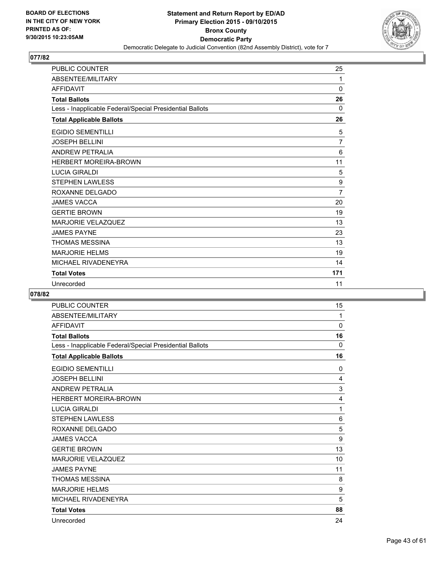

| <b>PUBLIC COUNTER</b>                                    | 25             |
|----------------------------------------------------------|----------------|
| ABSENTEE/MILITARY                                        | 1              |
| <b>AFFIDAVIT</b>                                         | 0              |
| <b>Total Ballots</b>                                     | 26             |
| Less - Inapplicable Federal/Special Presidential Ballots | 0              |
| <b>Total Applicable Ballots</b>                          | 26             |
| <b>EGIDIO SEMENTILLI</b>                                 | 5              |
| <b>JOSEPH BELLINI</b>                                    | $\overline{7}$ |
| <b>ANDREW PETRALIA</b>                                   | 6              |
| <b>HERBERT MOREIRA-BROWN</b>                             | 11             |
| <b>LUCIA GIRALDI</b>                                     | 5              |
| <b>STEPHEN LAWLESS</b>                                   | 9              |
| ROXANNE DELGADO                                          | $\overline{7}$ |
| <b>JAMES VACCA</b>                                       | 20             |
| <b>GERTIE BROWN</b>                                      | 19             |
| <b>MARJORIE VELAZQUEZ</b>                                | 13             |
| <b>JAMES PAYNE</b>                                       | 23             |
| <b>THOMAS MESSINA</b>                                    | 13             |
| <b>MARJORIE HELMS</b>                                    | 19             |
| MICHAEL RIVADENEYRA                                      | 14             |
| <b>Total Votes</b>                                       | 171            |
| Unrecorded                                               | 11             |

| <b>PUBLIC COUNTER</b>                                    | 15           |
|----------------------------------------------------------|--------------|
| ABSENTEE/MILITARY                                        | 1            |
| <b>AFFIDAVIT</b>                                         | 0            |
| <b>Total Ballots</b>                                     | 16           |
| Less - Inapplicable Federal/Special Presidential Ballots | $\mathbf{0}$ |
| <b>Total Applicable Ballots</b>                          | 16           |
| <b>EGIDIO SEMENTILLI</b>                                 | $\mathbf 0$  |
| <b>JOSEPH BELLINI</b>                                    | 4            |
| <b>ANDREW PETRALIA</b>                                   | 3            |
| <b>HERBERT MOREIRA-BROWN</b>                             | 4            |
| <b>LUCIA GIRALDI</b>                                     | 1            |
| <b>STEPHEN LAWLESS</b>                                   | 6            |
| ROXANNE DELGADO                                          | 5            |
| <b>JAMES VACCA</b>                                       | 9            |
| <b>GERTIE BROWN</b>                                      | 13           |
| <b>MARJORIE VELAZQUEZ</b>                                | 10           |
| <b>JAMES PAYNE</b>                                       | 11           |
| <b>THOMAS MESSINA</b>                                    | 8            |
| <b>MARJORIE HELMS</b>                                    | 9            |
| MICHAEL RIVADENEYRA                                      | 5            |
| <b>Total Votes</b>                                       | 88           |
| Unrecorded                                               | 24           |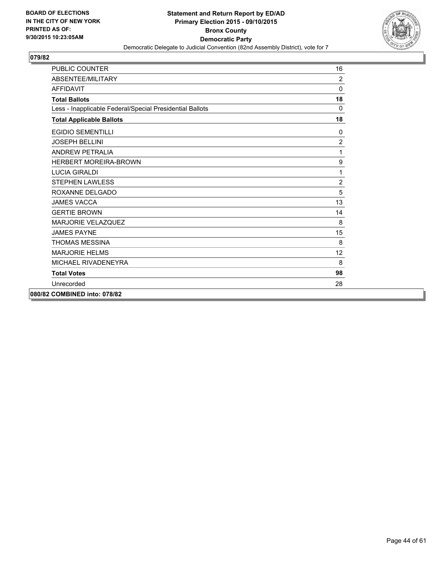

| <b>PUBLIC COUNTER</b>                                    | 16             |
|----------------------------------------------------------|----------------|
| ABSENTEE/MILITARY                                        | $\overline{2}$ |
| <b>AFFIDAVIT</b>                                         | 0              |
| <b>Total Ballots</b>                                     | 18             |
| Less - Inapplicable Federal/Special Presidential Ballots | $\mathbf{0}$   |
| <b>Total Applicable Ballots</b>                          | 18             |
| <b>EGIDIO SEMENTILLI</b>                                 | 0              |
| <b>JOSEPH BELLINI</b>                                    | $\overline{2}$ |
| <b>ANDREW PETRALIA</b>                                   | 1              |
| <b>HERBERT MOREIRA-BROWN</b>                             | 9              |
| <b>LUCIA GIRALDI</b>                                     | 1              |
| <b>STEPHEN LAWLESS</b>                                   | $\overline{c}$ |
| ROXANNE DELGADO                                          | 5              |
| <b>JAMES VACCA</b>                                       | 13             |
| <b>GERTIE BROWN</b>                                      | 14             |
| <b>MARJORIE VELAZQUEZ</b>                                | 8              |
| <b>JAMES PAYNE</b>                                       | 15             |
| <b>THOMAS MESSINA</b>                                    | 8              |
| <b>MARJORIE HELMS</b>                                    | 12             |
| MICHAEL RIVADENEYRA                                      | 8              |
| <b>Total Votes</b>                                       | 98             |
| Unrecorded                                               | 28             |
| 080/82 COMBINED into: 078/82                             |                |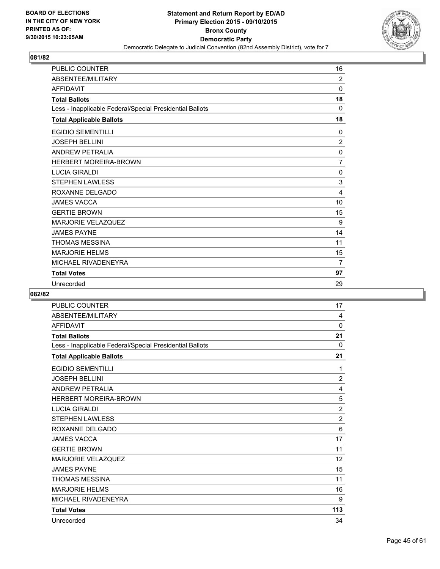

| <b>PUBLIC COUNTER</b>                                    | 16             |
|----------------------------------------------------------|----------------|
| ABSENTEE/MILITARY                                        | 2              |
| <b>AFFIDAVIT</b>                                         | 0              |
| <b>Total Ballots</b>                                     | 18             |
| Less - Inapplicable Federal/Special Presidential Ballots | 0              |
| <b>Total Applicable Ballots</b>                          | 18             |
| <b>EGIDIO SEMENTILLI</b>                                 | 0              |
| <b>JOSEPH BELLINI</b>                                    | $\overline{2}$ |
| <b>ANDREW PETRALIA</b>                                   | 0              |
| <b>HERBERT MOREIRA-BROWN</b>                             | $\overline{7}$ |
| <b>LUCIA GIRALDI</b>                                     | 0              |
| <b>STEPHEN LAWLESS</b>                                   | 3              |
| ROXANNE DELGADO                                          | 4              |
| <b>JAMES VACCA</b>                                       | 10             |
| <b>GERTIE BROWN</b>                                      | 15             |
| <b>MARJORIE VELAZQUEZ</b>                                | 9              |
| <b>JAMES PAYNE</b>                                       | 14             |
| <b>THOMAS MESSINA</b>                                    | 11             |
| <b>MARJORIE HELMS</b>                                    | 15             |
| MICHAEL RIVADENEYRA                                      | 7              |
| <b>Total Votes</b>                                       | 97             |
| Unrecorded                                               | 29             |

| <b>PUBLIC COUNTER</b>                                    | 17             |
|----------------------------------------------------------|----------------|
| ABSENTEE/MILITARY                                        | 4              |
| <b>AFFIDAVIT</b>                                         | 0              |
| <b>Total Ballots</b>                                     | 21             |
| Less - Inapplicable Federal/Special Presidential Ballots | $\Omega$       |
| <b>Total Applicable Ballots</b>                          | 21             |
| <b>EGIDIO SEMENTILLI</b>                                 | 1              |
| <b>JOSEPH BELLINI</b>                                    | $\overline{2}$ |
| <b>ANDREW PETRALIA</b>                                   | 4              |
| <b>HERBERT MOREIRA-BROWN</b>                             | 5              |
| <b>LUCIA GIRALDI</b>                                     | $\overline{2}$ |
| <b>STEPHEN LAWLESS</b>                                   | $\overline{2}$ |
| ROXANNE DELGADO                                          | 6              |
| <b>JAMES VACCA</b>                                       | 17             |
| <b>GERTIE BROWN</b>                                      | 11             |
| <b>MARJORIE VELAZQUEZ</b>                                | 12             |
| <b>JAMES PAYNE</b>                                       | 15             |
| <b>THOMAS MESSINA</b>                                    | 11             |
| <b>MARJORIE HELMS</b>                                    | 16             |
| MICHAEL RIVADENEYRA                                      | 9              |
| <b>Total Votes</b>                                       | 113            |
| Unrecorded                                               | 34             |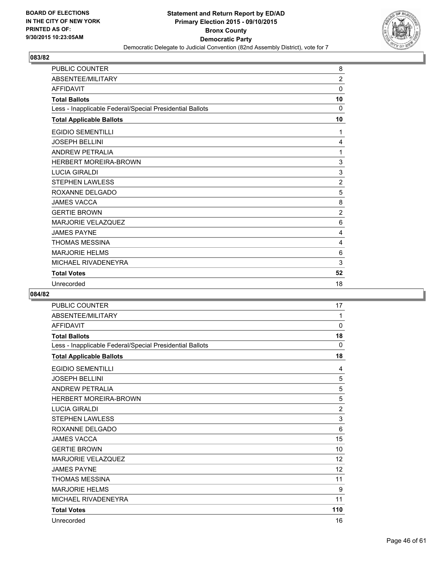

| PUBLIC COUNTER                                           | 8              |
|----------------------------------------------------------|----------------|
| ABSENTEE/MILITARY                                        | $\overline{2}$ |
| <b>AFFIDAVIT</b>                                         | 0              |
| <b>Total Ballots</b>                                     | 10             |
| Less - Inapplicable Federal/Special Presidential Ballots | 0              |
| <b>Total Applicable Ballots</b>                          | 10             |
| <b>EGIDIO SEMENTILLI</b>                                 | 1              |
| <b>JOSEPH BELLINI</b>                                    | 4              |
| <b>ANDREW PETRALIA</b>                                   | 1              |
| <b>HERBERT MOREIRA-BROWN</b>                             | 3              |
| <b>LUCIA GIRALDI</b>                                     | 3              |
| <b>STEPHEN LAWLESS</b>                                   | $\overline{2}$ |
| ROXANNE DELGADO                                          | 5              |
| <b>JAMES VACCA</b>                                       | 8              |
| <b>GERTIE BROWN</b>                                      | $\overline{2}$ |
| <b>MARJORIE VELAZQUEZ</b>                                | 6              |
| <b>JAMES PAYNE</b>                                       | 4              |
| <b>THOMAS MESSINA</b>                                    | 4              |
| <b>MARJORIE HELMS</b>                                    | 6              |
| MICHAEL RIVADENEYRA                                      | 3              |
| <b>Total Votes</b>                                       | 52             |
| Unrecorded                                               | 18             |

| <b>PUBLIC COUNTER</b>                                    | 17              |
|----------------------------------------------------------|-----------------|
| ABSENTEE/MILITARY                                        | 1               |
| <b>AFFIDAVIT</b>                                         | 0               |
| <b>Total Ballots</b>                                     | 18              |
| Less - Inapplicable Federal/Special Presidential Ballots | $\mathbf{0}$    |
| <b>Total Applicable Ballots</b>                          | 18              |
| <b>EGIDIO SEMENTILLI</b>                                 | 4               |
| <b>JOSEPH BELLINI</b>                                    | 5               |
| <b>ANDREW PETRALIA</b>                                   | 5               |
| <b>HERBERT MOREIRA-BROWN</b>                             | 5               |
| <b>LUCIA GIRALDI</b>                                     | $\overline{2}$  |
| <b>STEPHEN LAWLESS</b>                                   | 3               |
| ROXANNE DELGADO                                          | $6\phantom{1}6$ |
| <b>JAMES VACCA</b>                                       | 15              |
| <b>GERTIE BROWN</b>                                      | 10              |
| <b>MARJORIE VELAZQUEZ</b>                                | 12              |
| <b>JAMES PAYNE</b>                                       | 12              |
| <b>THOMAS MESSINA</b>                                    | 11              |
| <b>MARJORIE HELMS</b>                                    | 9               |
| MICHAEL RIVADENEYRA                                      | 11              |
| <b>Total Votes</b>                                       | 110             |
| Unrecorded                                               | 16              |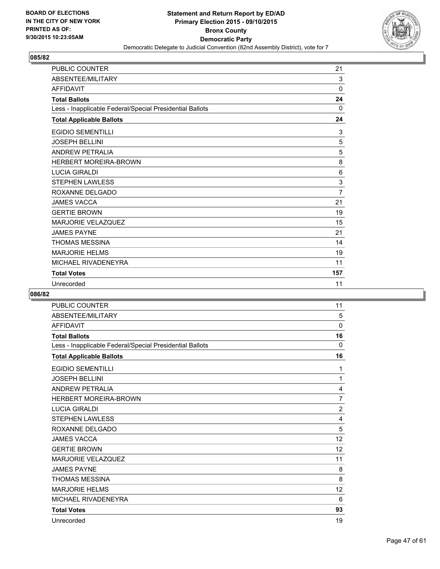

| <b>PUBLIC COUNTER</b>                                    | 21             |
|----------------------------------------------------------|----------------|
| ABSENTEE/MILITARY                                        | 3              |
| <b>AFFIDAVIT</b>                                         | $\mathbf 0$    |
| <b>Total Ballots</b>                                     | 24             |
| Less - Inapplicable Federal/Special Presidential Ballots | 0              |
| <b>Total Applicable Ballots</b>                          | 24             |
| <b>EGIDIO SEMENTILLI</b>                                 | 3              |
| <b>JOSEPH BELLINI</b>                                    | 5              |
| <b>ANDREW PETRALIA</b>                                   | 5              |
| <b>HERBERT MOREIRA-BROWN</b>                             | 8              |
| <b>LUCIA GIRALDI</b>                                     | 6              |
| <b>STEPHEN LAWLESS</b>                                   | 3              |
| ROXANNE DELGADO                                          | $\overline{7}$ |
| <b>JAMES VACCA</b>                                       | 21             |
| <b>GERTIE BROWN</b>                                      | 19             |
| <b>MARJORIE VELAZQUEZ</b>                                | 15             |
| <b>JAMES PAYNE</b>                                       | 21             |
| <b>THOMAS MESSINA</b>                                    | 14             |
| <b>MARJORIE HELMS</b>                                    | 19             |
| MICHAEL RIVADENEYRA                                      | 11             |
| <b>Total Votes</b>                                       | 157            |
| Unrecorded                                               | 11             |

| <b>PUBLIC COUNTER</b>                                    | 11             |
|----------------------------------------------------------|----------------|
| ABSENTEE/MILITARY                                        | 5              |
| <b>AFFIDAVIT</b>                                         | 0              |
| <b>Total Ballots</b>                                     | 16             |
| Less - Inapplicable Federal/Special Presidential Ballots | $\mathbf{0}$   |
| <b>Total Applicable Ballots</b>                          | 16             |
| <b>EGIDIO SEMENTILLI</b>                                 | 1              |
| <b>JOSEPH BELLINI</b>                                    | 1              |
| <b>ANDREW PETRALIA</b>                                   | 4              |
| <b>HERBERT MOREIRA-BROWN</b>                             | $\overline{7}$ |
| <b>LUCIA GIRALDI</b>                                     | $\overline{2}$ |
| <b>STEPHEN LAWLESS</b>                                   | 4              |
| ROXANNE DELGADO                                          | 5              |
| <b>JAMES VACCA</b>                                       | 12             |
| <b>GERTIE BROWN</b>                                      | 12             |
| <b>MARJORIE VELAZQUEZ</b>                                | 11             |
| <b>JAMES PAYNE</b>                                       | 8              |
| <b>THOMAS MESSINA</b>                                    | 8              |
| <b>MARJORIE HELMS</b>                                    | 12             |
| MICHAEL RIVADENEYRA                                      | 6              |
| <b>Total Votes</b>                                       | 93             |
| Unrecorded                                               | 19             |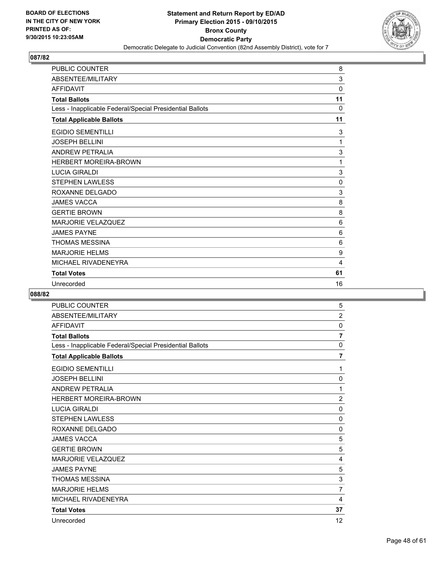

| PUBLIC COUNTER                                           | 8           |
|----------------------------------------------------------|-------------|
| ABSENTEE/MILITARY                                        | 3           |
| <b>AFFIDAVIT</b>                                         | $\mathbf 0$ |
| <b>Total Ballots</b>                                     | 11          |
| Less - Inapplicable Federal/Special Presidential Ballots | $\Omega$    |
| <b>Total Applicable Ballots</b>                          | 11          |
| <b>EGIDIO SEMENTILLI</b>                                 | 3           |
| <b>JOSEPH BELLINI</b>                                    | 1           |
| <b>ANDREW PETRALIA</b>                                   | 3           |
| <b>HERBERT MOREIRA-BROWN</b>                             | 1           |
| <b>LUCIA GIRALDI</b>                                     | 3           |
| <b>STEPHEN LAWLESS</b>                                   | $\mathbf 0$ |
| ROXANNE DELGADO                                          | 3           |
| <b>JAMES VACCA</b>                                       | 8           |
| <b>GERTIE BROWN</b>                                      | 8           |
| <b>MARJORIE VELAZQUEZ</b>                                | 6           |
| <b>JAMES PAYNE</b>                                       | 6           |
| <b>THOMAS MESSINA</b>                                    | 6           |
| <b>MARJORIE HELMS</b>                                    | 9           |
| MICHAEL RIVADENEYRA                                      | 4           |
| <b>Total Votes</b>                                       | 61          |
| Unrecorded                                               | 16          |

| <b>PUBLIC COUNTER</b>                                    | 5              |
|----------------------------------------------------------|----------------|
| ABSENTEE/MILITARY                                        | $\overline{2}$ |
| <b>AFFIDAVIT</b>                                         | 0              |
| <b>Total Ballots</b>                                     | $\overline{7}$ |
| Less - Inapplicable Federal/Special Presidential Ballots | 0              |
| <b>Total Applicable Ballots</b>                          | $\overline{7}$ |
| <b>EGIDIO SEMENTILLI</b>                                 | 1              |
| <b>JOSEPH BELLINI</b>                                    | 0              |
| <b>ANDREW PETRALIA</b>                                   | 1              |
| <b>HERBERT MOREIRA-BROWN</b>                             | $\overline{2}$ |
| <b>LUCIA GIRALDI</b>                                     | 0              |
| <b>STEPHEN LAWLESS</b>                                   | $\mathbf 0$    |
| ROXANNE DELGADO                                          | 0              |
| <b>JAMES VACCA</b>                                       | 5              |
| <b>GERTIE BROWN</b>                                      | 5              |
| <b>MARJORIE VELAZQUEZ</b>                                | 4              |
| <b>JAMES PAYNE</b>                                       | 5              |
| <b>THOMAS MESSINA</b>                                    | 3              |
| <b>MARJORIE HELMS</b>                                    | $\overline{7}$ |
| MICHAEL RIVADENEYRA                                      | 4              |
| <b>Total Votes</b>                                       | 37             |
| Unrecorded                                               | 12             |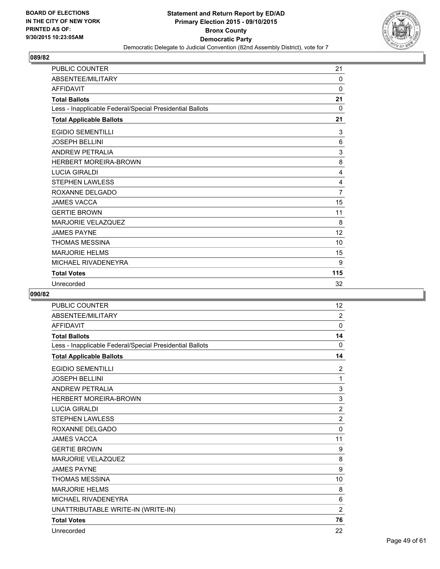

| <b>PUBLIC COUNTER</b>                                    | 21             |
|----------------------------------------------------------|----------------|
| ABSENTEE/MILITARY                                        | 0              |
| <b>AFFIDAVIT</b>                                         | $\Omega$       |
| <b>Total Ballots</b>                                     | 21             |
| Less - Inapplicable Federal/Special Presidential Ballots | 0              |
| <b>Total Applicable Ballots</b>                          | 21             |
| <b>EGIDIO SEMENTILLI</b>                                 | 3              |
| <b>JOSEPH BELLINI</b>                                    | 6              |
| <b>ANDREW PETRALIA</b>                                   | 3              |
| <b>HERBERT MOREIRA-BROWN</b>                             | 8              |
| <b>LUCIA GIRALDI</b>                                     | 4              |
| <b>STEPHEN LAWLESS</b>                                   | 4              |
| ROXANNE DELGADO                                          | $\overline{7}$ |
| <b>JAMES VACCA</b>                                       | 15             |
| <b>GERTIE BROWN</b>                                      | 11             |
| <b>MARJORIE VELAZQUEZ</b>                                | 8              |
| <b>JAMES PAYNE</b>                                       | 12             |
| <b>THOMAS MESSINA</b>                                    | 10             |
| <b>MARJORIE HELMS</b>                                    | 15             |
| MICHAEL RIVADENEYRA                                      | 9              |
| <b>Total Votes</b>                                       | 115            |
| Unrecorded                                               | 32             |

| <b>PUBLIC COUNTER</b>                                    | 12             |
|----------------------------------------------------------|----------------|
| ABSENTEE/MILITARY                                        | $\overline{2}$ |
| <b>AFFIDAVIT</b>                                         | $\mathbf 0$    |
| <b>Total Ballots</b>                                     | 14             |
| Less - Inapplicable Federal/Special Presidential Ballots | $\Omega$       |
| <b>Total Applicable Ballots</b>                          | 14             |
| <b>EGIDIO SEMENTILLI</b>                                 | 2              |
| <b>JOSEPH BELLINI</b>                                    | $\mathbf{1}$   |
| <b>ANDREW PETRALIA</b>                                   | 3              |
| <b>HERBERT MOREIRA-BROWN</b>                             | 3              |
| <b>LUCIA GIRALDI</b>                                     | $\overline{2}$ |
| <b>STEPHEN LAWLESS</b>                                   | $\overline{2}$ |
| ROXANNE DELGADO                                          | 0              |
| <b>JAMES VACCA</b>                                       | 11             |
| <b>GERTIE BROWN</b>                                      | 9              |
| <b>MARJORIE VELAZQUEZ</b>                                | 8              |
| <b>JAMES PAYNE</b>                                       | 9              |
| <b>THOMAS MESSINA</b>                                    | 10             |
| <b>MARJORIE HELMS</b>                                    | 8              |
| MICHAEL RIVADENEYRA                                      | 6              |
| UNATTRIBUTABLE WRITE-IN (WRITE-IN)                       | $\overline{2}$ |
| <b>Total Votes</b>                                       | 76             |
| Unrecorded                                               | 22             |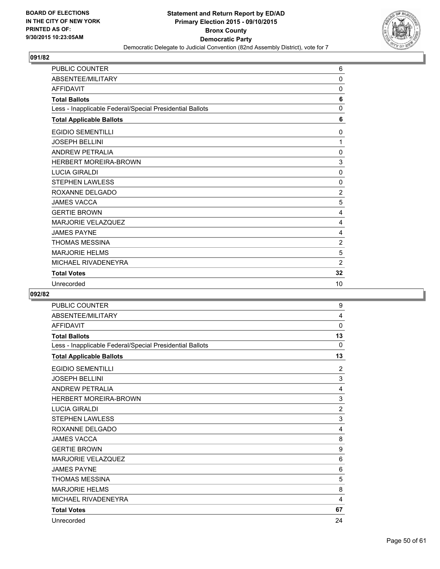

| <b>PUBLIC COUNTER</b>                                    | 6              |
|----------------------------------------------------------|----------------|
| ABSENTEE/MILITARY                                        | $\Omega$       |
| <b>AFFIDAVIT</b>                                         | 0              |
| <b>Total Ballots</b>                                     | 6              |
| Less - Inapplicable Federal/Special Presidential Ballots | $\mathbf 0$    |
| <b>Total Applicable Ballots</b>                          | 6              |
| <b>EGIDIO SEMENTILLI</b>                                 | 0              |
| <b>JOSEPH BELLINI</b>                                    | 1              |
| <b>ANDREW PETRALIA</b>                                   | 0              |
| <b>HERBERT MOREIRA-BROWN</b>                             | 3              |
| <b>LUCIA GIRALDI</b>                                     | $\mathbf 0$    |
| <b>STEPHEN LAWLESS</b>                                   | 0              |
| ROXANNE DELGADO                                          | $\overline{2}$ |
| <b>JAMES VACCA</b>                                       | 5              |
| <b>GERTIE BROWN</b>                                      | 4              |
| <b>MARJORIE VELAZQUEZ</b>                                | 4              |
| <b>JAMES PAYNE</b>                                       | 4              |
| <b>THOMAS MESSINA</b>                                    | $\overline{2}$ |
| <b>MARJORIE HELMS</b>                                    | 5              |
| MICHAEL RIVADENEYRA                                      | 2              |
| <b>Total Votes</b>                                       | 32             |
| Unrecorded                                               | 10             |

| <b>PUBLIC COUNTER</b>                                    | 9              |
|----------------------------------------------------------|----------------|
| ABSENTEE/MILITARY                                        | 4              |
| <b>AFFIDAVIT</b>                                         | 0              |
| <b>Total Ballots</b>                                     | 13             |
| Less - Inapplicable Federal/Special Presidential Ballots | 0              |
| <b>Total Applicable Ballots</b>                          | 13             |
| <b>EGIDIO SEMENTILLI</b>                                 | $\overline{2}$ |
| <b>JOSEPH BELLINI</b>                                    | 3              |
| <b>ANDREW PETRALIA</b>                                   | 4              |
| <b>HERBERT MOREIRA-BROWN</b>                             | 3              |
| <b>LUCIA GIRALDI</b>                                     | $\overline{2}$ |
| <b>STEPHEN LAWLESS</b>                                   | 3              |
| ROXANNE DELGADO                                          | 4              |
| <b>JAMES VACCA</b>                                       | 8              |
| <b>GERTIE BROWN</b>                                      | 9              |
| <b>MARJORIE VELAZQUEZ</b>                                | 6              |
| <b>JAMES PAYNE</b>                                       | 6              |
| <b>THOMAS MESSINA</b>                                    | 5              |
| <b>MARJORIE HELMS</b>                                    | 8              |
| MICHAEL RIVADENEYRA                                      | 4              |
| <b>Total Votes</b>                                       | 67             |
| Unrecorded                                               | 24             |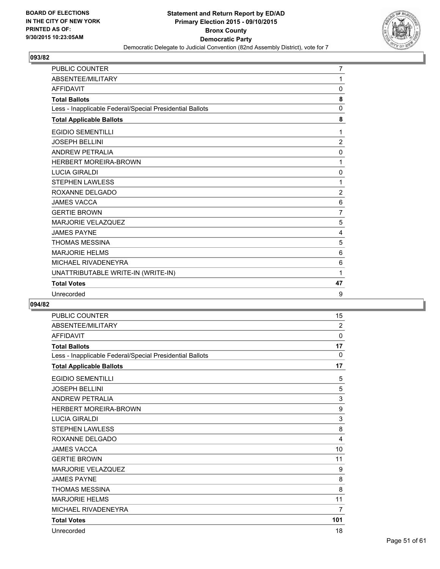

| <b>PUBLIC COUNTER</b>                                    | $\overline{7}$ |
|----------------------------------------------------------|----------------|
| ABSENTEE/MILITARY                                        | 1              |
| <b>AFFIDAVIT</b>                                         | 0              |
| <b>Total Ballots</b>                                     | 8              |
| Less - Inapplicable Federal/Special Presidential Ballots | 0              |
| <b>Total Applicable Ballots</b>                          | 8              |
| <b>EGIDIO SEMENTILLI</b>                                 | 1              |
| <b>JOSEPH BELLINI</b>                                    | 2              |
| <b>ANDREW PETRALIA</b>                                   | 0              |
| <b>HERBERT MOREIRA-BROWN</b>                             | 1              |
| <b>LUCIA GIRALDI</b>                                     | 0              |
| <b>STEPHEN LAWLESS</b>                                   | 1              |
| ROXANNE DELGADO                                          | $\overline{2}$ |
| <b>JAMES VACCA</b>                                       | 6              |
| <b>GERTIE BROWN</b>                                      | $\overline{7}$ |
| <b>MARJORIE VELAZQUEZ</b>                                | 5              |
| <b>JAMES PAYNE</b>                                       | 4              |
| <b>THOMAS MESSINA</b>                                    | 5              |
| <b>MARJORIE HELMS</b>                                    | 6              |
| MICHAEL RIVADENEYRA                                      | 6              |
| UNATTRIBUTABLE WRITE-IN (WRITE-IN)                       | 1              |
| <b>Total Votes</b>                                       | 47             |
| Unrecorded                                               | 9              |

| <b>PUBLIC COUNTER</b>                                    | 15       |
|----------------------------------------------------------|----------|
| ABSENTEE/MILITARY                                        | 2        |
| <b>AFFIDAVIT</b>                                         | 0        |
| <b>Total Ballots</b>                                     | 17       |
| Less - Inapplicable Federal/Special Presidential Ballots | $\Omega$ |
| <b>Total Applicable Ballots</b>                          | 17       |
| <b>EGIDIO SEMENTILLI</b>                                 | 5        |
| <b>JOSEPH BELLINI</b>                                    | 5        |
| <b>ANDREW PETRALIA</b>                                   | 3        |
| <b>HERBERT MOREIRA-BROWN</b>                             | 9        |
| <b>LUCIA GIRALDI</b>                                     | 3        |
| <b>STEPHEN LAWLESS</b>                                   | 8        |
| ROXANNE DELGADO                                          | 4        |
| <b>JAMES VACCA</b>                                       | 10       |
| <b>GERTIE BROWN</b>                                      | 11       |
| <b>MARJORIE VELAZQUEZ</b>                                | 9        |
| <b>JAMES PAYNE</b>                                       | 8        |
| <b>THOMAS MESSINA</b>                                    | 8        |
| <b>MARJORIE HELMS</b>                                    | 11       |
| MICHAEL RIVADENEYRA                                      | 7        |
| <b>Total Votes</b>                                       | 101      |
| Unrecorded                                               | 18       |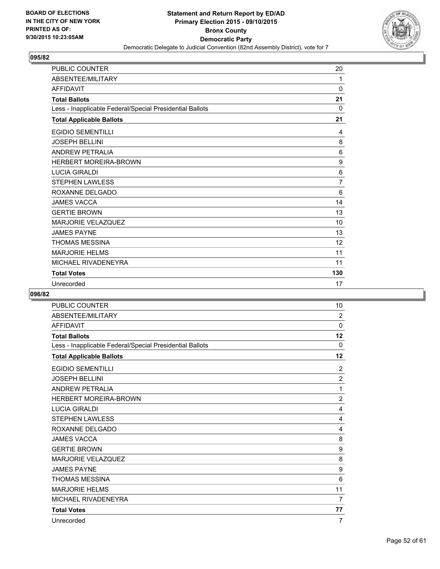

| <b>PUBLIC COUNTER</b>                                    | 20             |
|----------------------------------------------------------|----------------|
| ABSENTEE/MILITARY                                        | 1              |
| <b>AFFIDAVIT</b>                                         | 0              |
| <b>Total Ballots</b>                                     | 21             |
| Less - Inapplicable Federal/Special Presidential Ballots | 0              |
| <b>Total Applicable Ballots</b>                          | 21             |
| <b>EGIDIO SEMENTILLI</b>                                 | 4              |
| <b>JOSEPH BELLINI</b>                                    | 8              |
| <b>ANDREW PETRALIA</b>                                   | 6              |
| <b>HERBERT MOREIRA-BROWN</b>                             | 9              |
| <b>LUCIA GIRALDI</b>                                     | 6              |
| <b>STEPHEN LAWLESS</b>                                   | $\overline{7}$ |
| ROXANNE DELGADO                                          | 6              |
| <b>JAMES VACCA</b>                                       | 14             |
| <b>GERTIE BROWN</b>                                      | 13             |
| <b>MARJORIE VELAZQUEZ</b>                                | 10             |
| <b>JAMES PAYNE</b>                                       | 13             |
| <b>THOMAS MESSINA</b>                                    | 12             |
| <b>MARJORIE HELMS</b>                                    | 11             |
| MICHAEL RIVADENEYRA                                      | 11             |
| <b>Total Votes</b>                                       | 130            |
| Unrecorded                                               | 17             |

| <b>PUBLIC COUNTER</b>                                    | 10             |
|----------------------------------------------------------|----------------|
| ABSENTEE/MILITARY                                        | $\overline{2}$ |
| <b>AFFIDAVIT</b>                                         | $\Omega$       |
| <b>Total Ballots</b>                                     | 12             |
| Less - Inapplicable Federal/Special Presidential Ballots | $\Omega$       |
| <b>Total Applicable Ballots</b>                          | 12             |
| <b>EGIDIO SEMENTILLI</b>                                 | $\overline{2}$ |
| <b>JOSEPH BELLINI</b>                                    | $\overline{c}$ |
| <b>ANDREW PETRALIA</b>                                   | 1              |
| <b>HERBERT MOREIRA-BROWN</b>                             | $\overline{2}$ |
| <b>LUCIA GIRALDI</b>                                     | 4              |
| <b>STEPHEN LAWLESS</b>                                   | 4              |
| ROXANNE DELGADO                                          | 4              |
| <b>JAMES VACCA</b>                                       | 8              |
| <b>GERTIE BROWN</b>                                      | 9              |
| <b>MARJORIE VELAZQUEZ</b>                                | 8              |
| <b>JAMES PAYNE</b>                                       | 9              |
| <b>THOMAS MESSINA</b>                                    | 6              |
| <b>MARJORIE HELMS</b>                                    | 11             |
| MICHAEL RIVADENEYRA                                      | $\overline{7}$ |
| <b>Total Votes</b>                                       | 77             |
| Unrecorded                                               | 7              |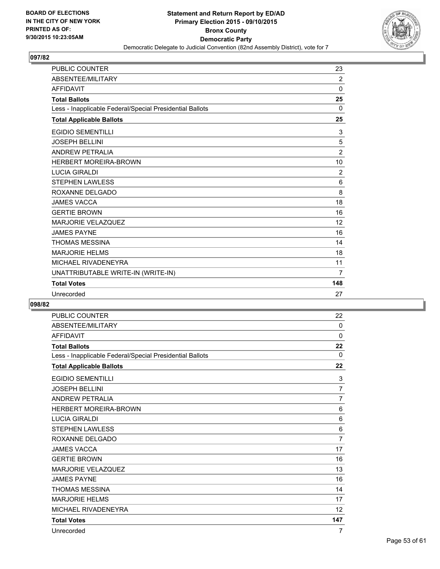

| <b>PUBLIC COUNTER</b>                                    | 23             |
|----------------------------------------------------------|----------------|
| ABSENTEE/MILITARY                                        | $\overline{2}$ |
| <b>AFFIDAVIT</b>                                         | 0              |
| <b>Total Ballots</b>                                     | 25             |
| Less - Inapplicable Federal/Special Presidential Ballots | 0              |
| <b>Total Applicable Ballots</b>                          | 25             |
| <b>EGIDIO SEMENTILLI</b>                                 | 3              |
| <b>JOSEPH BELLINI</b>                                    | $\,$ 5 $\,$    |
| ANDREW PETRALIA                                          | $\overline{c}$ |
| <b>HERBERT MOREIRA-BROWN</b>                             | 10             |
| <b>LUCIA GIRALDI</b>                                     | $\overline{2}$ |
| <b>STEPHEN LAWLESS</b>                                   | 6              |
| ROXANNE DELGADO                                          | 8              |
| <b>JAMES VACCA</b>                                       | 18             |
| <b>GERTIE BROWN</b>                                      | 16             |
| <b>MARJORIE VELAZQUEZ</b>                                | 12             |
| <b>JAMES PAYNE</b>                                       | 16             |
| THOMAS MESSINA                                           | 14             |
| <b>MARJORIE HELMS</b>                                    | 18             |
| MICHAEL RIVADENEYRA                                      | 11             |
| UNATTRIBUTABLE WRITE-IN (WRITE-IN)                       | 7              |
| <b>Total Votes</b>                                       | 148            |
| Unrecorded                                               | 27             |

| <b>PUBLIC COUNTER</b>                                    | 22             |
|----------------------------------------------------------|----------------|
| ABSENTEE/MILITARY                                        | $\mathbf{0}$   |
| <b>AFFIDAVIT</b>                                         | 0              |
| <b>Total Ballots</b>                                     | 22             |
| Less - Inapplicable Federal/Special Presidential Ballots | $\Omega$       |
| <b>Total Applicable Ballots</b>                          | 22             |
| <b>EGIDIO SEMENTILLI</b>                                 | 3              |
| <b>JOSEPH BELLINI</b>                                    | $\overline{7}$ |
| <b>ANDREW PETRALIA</b>                                   | $\overline{7}$ |
| <b>HERBERT MOREIRA-BROWN</b>                             | 6              |
| <b>LUCIA GIRALDI</b>                                     | 6              |
| <b>STEPHEN LAWLESS</b>                                   | 6              |
| ROXANNE DELGADO                                          | 7              |
| <b>JAMES VACCA</b>                                       | 17             |
| <b>GERTIE BROWN</b>                                      | 16             |
| <b>MARJORIE VELAZQUEZ</b>                                | 13             |
| <b>JAMES PAYNE</b>                                       | 16             |
| <b>THOMAS MESSINA</b>                                    | 14             |
| <b>MARJORIE HELMS</b>                                    | 17             |
| MICHAEL RIVADENEYRA                                      | 12             |
| <b>Total Votes</b>                                       | 147            |
| Unrecorded                                               | 7              |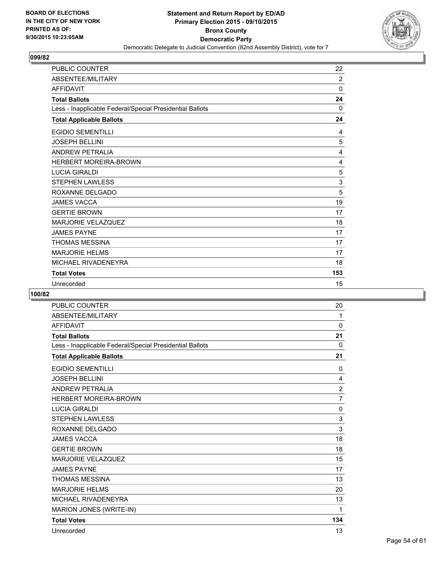

| <b>PUBLIC COUNTER</b>                                    | 22       |
|----------------------------------------------------------|----------|
| ABSENTEE/MILITARY                                        | 2        |
| <b>AFFIDAVIT</b>                                         | $\Omega$ |
| <b>Total Ballots</b>                                     | 24       |
| Less - Inapplicable Federal/Special Presidential Ballots | 0        |
| <b>Total Applicable Ballots</b>                          | 24       |
| <b>EGIDIO SEMENTILLI</b>                                 | 4        |
| <b>JOSEPH BELLINI</b>                                    | 5        |
| <b>ANDREW PETRALIA</b>                                   | 4        |
| <b>HERBERT MOREIRA-BROWN</b>                             | 4        |
| <b>LUCIA GIRALDI</b>                                     | 5        |
| <b>STEPHEN LAWLESS</b>                                   | 3        |
| ROXANNE DELGADO                                          | 5        |
| <b>JAMES VACCA</b>                                       | 19       |
| <b>GERTIE BROWN</b>                                      | 17       |
| <b>MARJORIE VELAZQUEZ</b>                                | 18       |
| <b>JAMES PAYNE</b>                                       | 17       |
| <b>THOMAS MESSINA</b>                                    | 17       |
| <b>MARJORIE HELMS</b>                                    | 17       |
| MICHAEL RIVADENEYRA                                      | 18       |
| <b>Total Votes</b>                                       | 153      |
| Unrecorded                                               | 15       |

| <b>PUBLIC COUNTER</b>                                    | 20             |
|----------------------------------------------------------|----------------|
| ABSENTEE/MILITARY                                        | 1              |
| <b>AFFIDAVIT</b>                                         | 0              |
| <b>Total Ballots</b>                                     | 21             |
| Less - Inapplicable Federal/Special Presidential Ballots | $\mathbf{0}$   |
| <b>Total Applicable Ballots</b>                          | 21             |
| <b>EGIDIO SEMENTILLI</b>                                 | 0              |
| <b>JOSEPH BELLINI</b>                                    | 4              |
| <b>ANDREW PETRALIA</b>                                   | $\overline{2}$ |
| <b>HERBERT MOREIRA-BROWN</b>                             | $\overline{7}$ |
| <b>LUCIA GIRALDI</b>                                     | 0              |
| <b>STEPHEN LAWLESS</b>                                   | $\mathsf 3$    |
| ROXANNE DELGADO                                          | 3              |
| <b>JAMES VACCA</b>                                       | 18             |
| <b>GERTIE BROWN</b>                                      | 18             |
| <b>MARJORIE VELAZQUEZ</b>                                | 15             |
| <b>JAMES PAYNE</b>                                       | 17             |
| <b>THOMAS MESSINA</b>                                    | 13             |
| <b>MARJORIE HELMS</b>                                    | 20             |
| MICHAEL RIVADENEYRA                                      | 13             |
| MARION JONES (WRITE-IN)                                  | 1              |
| <b>Total Votes</b>                                       | 134            |
| Unrecorded                                               | 13             |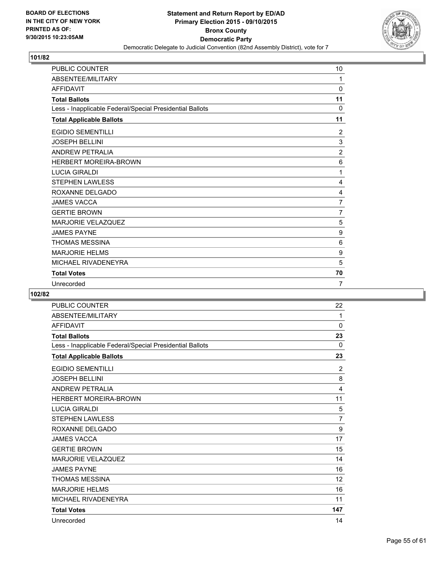

| <b>PUBLIC COUNTER</b>                                    | 10             |
|----------------------------------------------------------|----------------|
| ABSENTEE/MILITARY                                        | 1              |
| <b>AFFIDAVIT</b>                                         | 0              |
| <b>Total Ballots</b>                                     | 11             |
| Less - Inapplicable Federal/Special Presidential Ballots | $\Omega$       |
| <b>Total Applicable Ballots</b>                          | 11             |
| <b>EGIDIO SEMENTILLI</b>                                 | 2              |
| <b>JOSEPH BELLINI</b>                                    | 3              |
| <b>ANDREW PETRALIA</b>                                   | $\overline{2}$ |
| <b>HERBERT MOREIRA-BROWN</b>                             | 6              |
| <b>LUCIA GIRALDI</b>                                     | 1              |
| <b>STEPHEN LAWLESS</b>                                   | 4              |
| ROXANNE DELGADO                                          | 4              |
| <b>JAMES VACCA</b>                                       | $\overline{7}$ |
| <b>GERTIE BROWN</b>                                      | 7              |
| <b>MARJORIE VELAZQUEZ</b>                                | 5              |
| <b>JAMES PAYNE</b>                                       | 9              |
| <b>THOMAS MESSINA</b>                                    | 6              |
| <b>MARJORIE HELMS</b>                                    | 9              |
| MICHAEL RIVADENEYRA                                      | 5              |
| <b>Total Votes</b>                                       | 70             |
| Unrecorded                                               | 7              |

| PUBLIC COUNTER                                           | 22             |
|----------------------------------------------------------|----------------|
| ABSENTEE/MILITARY                                        | 1              |
| <b>AFFIDAVIT</b>                                         | 0              |
| <b>Total Ballots</b>                                     | 23             |
| Less - Inapplicable Federal/Special Presidential Ballots | $\mathbf{0}$   |
| <b>Total Applicable Ballots</b>                          | 23             |
| <b>EGIDIO SEMENTILLI</b>                                 | $\overline{2}$ |
| <b>JOSEPH BELLINI</b>                                    | 8              |
| <b>ANDREW PETRALIA</b>                                   | 4              |
| <b>HERBERT MOREIRA-BROWN</b>                             | 11             |
| <b>LUCIA GIRALDI</b>                                     | 5              |
| <b>STEPHEN LAWLESS</b>                                   | $\overline{7}$ |
| ROXANNE DELGADO                                          | 9              |
| <b>JAMES VACCA</b>                                       | 17             |
| <b>GERTIE BROWN</b>                                      | 15             |
| MARJORIE VELAZQUEZ                                       | 14             |
| <b>JAMES PAYNE</b>                                       | 16             |
| <b>THOMAS MESSINA</b>                                    | 12             |
| <b>MARJORIE HELMS</b>                                    | 16             |
| MICHAEL RIVADENEYRA                                      | 11             |
| <b>Total Votes</b>                                       | 147            |
| Unrecorded                                               | 14             |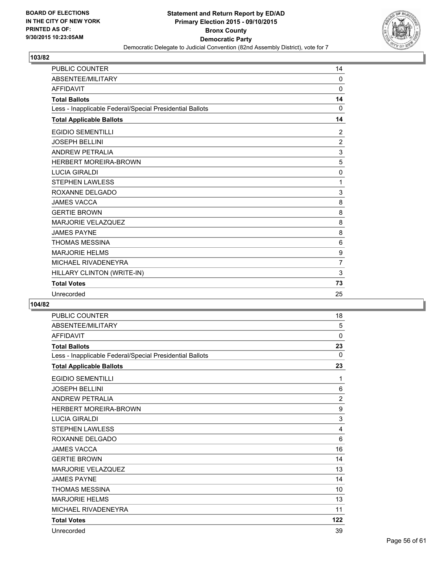

| PUBLIC COUNTER                                           | 14                        |
|----------------------------------------------------------|---------------------------|
| ABSENTEE/MILITARY                                        | 0                         |
| <b>AFFIDAVIT</b>                                         | $\mathbf 0$               |
| <b>Total Ballots</b>                                     | 14                        |
| Less - Inapplicable Federal/Special Presidential Ballots | 0                         |
| <b>Total Applicable Ballots</b>                          | 14                        |
| <b>EGIDIO SEMENTILLI</b>                                 | 2                         |
| <b>JOSEPH BELLINI</b>                                    | $\overline{2}$            |
| <b>ANDREW PETRALIA</b>                                   | $\ensuremath{\mathsf{3}}$ |
| HERBERT MOREIRA-BROWN                                    | 5                         |
| <b>LUCIA GIRALDI</b>                                     | 0                         |
| <b>STEPHEN LAWLESS</b>                                   | 1                         |
| ROXANNE DELGADO                                          | 3                         |
| <b>JAMES VACCA</b>                                       | 8                         |
| <b>GERTIE BROWN</b>                                      | 8                         |
| MARJORIE VELAZQUEZ                                       | 8                         |
| <b>JAMES PAYNE</b>                                       | 8                         |
| <b>THOMAS MESSINA</b>                                    | 6                         |
| <b>MARJORIE HELMS</b>                                    | 9                         |
| MICHAEL RIVADENEYRA                                      | $\overline{7}$            |
| HILLARY CLINTON (WRITE-IN)                               | 3                         |
| <b>Total Votes</b>                                       | 73                        |
| Unrecorded                                               | 25                        |

| <b>PUBLIC COUNTER</b>                                    | 18             |
|----------------------------------------------------------|----------------|
| ABSENTEE/MILITARY                                        | 5              |
| <b>AFFIDAVIT</b>                                         | 0              |
| <b>Total Ballots</b>                                     | 23             |
| Less - Inapplicable Federal/Special Presidential Ballots | $\mathbf{0}$   |
| <b>Total Applicable Ballots</b>                          | 23             |
| <b>EGIDIO SEMENTILLI</b>                                 | 1              |
| <b>JOSEPH BELLINI</b>                                    | 6              |
| <b>ANDREW PETRALIA</b>                                   | $\overline{2}$ |
| <b>HERBERT MOREIRA-BROWN</b>                             | 9              |
| <b>LUCIA GIRALDI</b>                                     | 3              |
| <b>STEPHEN LAWLESS</b>                                   | 4              |
| ROXANNE DELGADO                                          | 6              |
| <b>JAMES VACCA</b>                                       | 16             |
| <b>GERTIE BROWN</b>                                      | 14             |
| <b>MARJORIE VELAZQUEZ</b>                                | 13             |
| <b>JAMES PAYNE</b>                                       | 14             |
| <b>THOMAS MESSINA</b>                                    | 10             |
| <b>MARJORIE HELMS</b>                                    | 13             |
| MICHAEL RIVADENEYRA                                      | 11             |
| <b>Total Votes</b>                                       | 122            |
| Unrecorded                                               | 39             |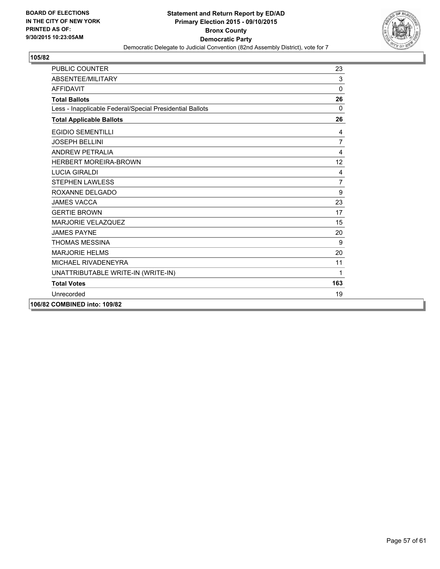

| <b>PUBLIC COUNTER</b>                                    | 23              |
|----------------------------------------------------------|-----------------|
| ABSENTEE/MILITARY                                        | 3               |
| <b>AFFIDAVIT</b>                                         | $\mathbf 0$     |
| <b>Total Ballots</b>                                     | 26              |
| Less - Inapplicable Federal/Special Presidential Ballots | $\mathbf{0}$    |
| <b>Total Applicable Ballots</b>                          | 26              |
| <b>EGIDIO SEMENTILLI</b>                                 | 4               |
| <b>JOSEPH BELLINI</b>                                    | $\overline{7}$  |
| <b>ANDREW PETRALIA</b>                                   | 4               |
| <b>HERBERT MOREIRA-BROWN</b>                             | 12 <sup>2</sup> |
| <b>LUCIA GIRALDI</b>                                     | 4               |
| <b>STEPHEN LAWLESS</b>                                   | 7               |
| ROXANNE DELGADO                                          | 9               |
| <b>JAMES VACCA</b>                                       | 23              |
| <b>GERTIE BROWN</b>                                      | 17              |
| <b>MARJORIE VELAZQUEZ</b>                                | 15              |
| <b>JAMES PAYNE</b>                                       | 20              |
| <b>THOMAS MESSINA</b>                                    | 9               |
| <b>MARJORIE HELMS</b>                                    | 20              |
| MICHAEL RIVADENEYRA                                      | 11              |
| UNATTRIBUTABLE WRITE-IN (WRITE-IN)                       | 1               |
| <b>Total Votes</b>                                       | 163             |
| Unrecorded                                               | 19              |
| 106/82 COMBINED into: 109/82                             |                 |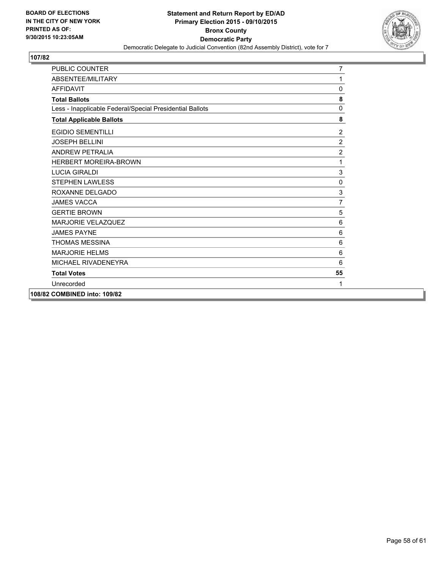

| <b>PUBLIC COUNTER</b>                                    | $\overline{7}$ |
|----------------------------------------------------------|----------------|
| ABSENTEE/MILITARY                                        | 1              |
| <b>AFFIDAVIT</b>                                         | 0              |
| <b>Total Ballots</b>                                     | 8              |
| Less - Inapplicable Federal/Special Presidential Ballots | $\mathbf 0$    |
| <b>Total Applicable Ballots</b>                          | 8              |
| <b>EGIDIO SEMENTILLI</b>                                 | $\overline{2}$ |
| <b>JOSEPH BELLINI</b>                                    | $\overline{2}$ |
| <b>ANDREW PETRALIA</b>                                   | $\overline{c}$ |
| <b>HERBERT MOREIRA-BROWN</b>                             | 1              |
| <b>LUCIA GIRALDI</b>                                     | $\mathsf 3$    |
| <b>STEPHEN LAWLESS</b>                                   | 0              |
| ROXANNE DELGADO                                          | 3              |
| <b>JAMES VACCA</b>                                       | 7              |
| <b>GERTIE BROWN</b>                                      | 5              |
| <b>MARJORIE VELAZQUEZ</b>                                | 6              |
| <b>JAMES PAYNE</b>                                       | $\,6$          |
| <b>THOMAS MESSINA</b>                                    | 6              |
| <b>MARJORIE HELMS</b>                                    | 6              |
| MICHAEL RIVADENEYRA                                      | 6              |
| <b>Total Votes</b>                                       | 55             |
| Unrecorded                                               | 1              |
| 108/82 COMBINED into: 109/82                             |                |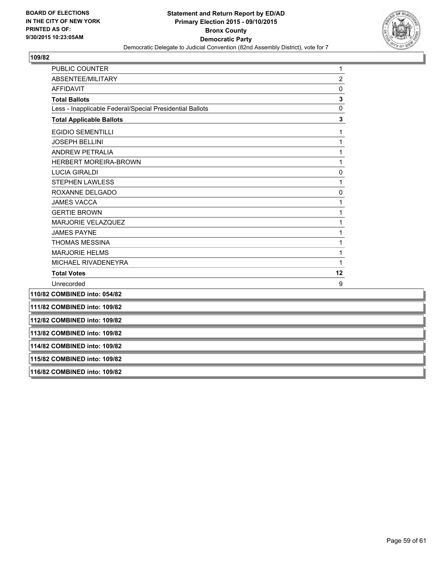

| <b>PUBLIC COUNTER</b>                                    | 1              |
|----------------------------------------------------------|----------------|
| ABSENTEE/MILITARY                                        | $\overline{c}$ |
| <b>AFFIDAVIT</b>                                         | 0              |
| <b>Total Ballots</b>                                     | $\mathbf 3$    |
| Less - Inapplicable Federal/Special Presidential Ballots | $\pmb{0}$      |
| <b>Total Applicable Ballots</b>                          | 3              |
| <b>EGIDIO SEMENTILLI</b>                                 | 1              |
| <b>JOSEPH BELLINI</b>                                    | 1              |
| <b>ANDREW PETRALIA</b>                                   | 1              |
| <b>HERBERT MOREIRA-BROWN</b>                             | 1              |
| <b>LUCIA GIRALDI</b>                                     | 0              |
| <b>STEPHEN LAWLESS</b>                                   | 1              |
| ROXANNE DELGADO                                          | 0              |
| <b>JAMES VACCA</b>                                       | 1              |
| <b>GERTIE BROWN</b>                                      | 1              |
| MARJORIE VELAZQUEZ                                       | 1              |
| <b>JAMES PAYNE</b>                                       | 1              |
| <b>THOMAS MESSINA</b>                                    | 1              |
| <b>MARJORIE HELMS</b>                                    | 1              |
| MICHAEL RIVADENEYRA                                      | 1              |
| <b>Total Votes</b>                                       | 12             |
| Unrecorded                                               | 9              |
| 110/82 COMBINED into: 054/82                             |                |
| 111/82 COMBINED into: 109/82                             |                |
| 112/82 COMBINED into: 109/82                             |                |
| 113/82 COMBINED into: 109/82                             |                |
| 114/82 COMBINED into: 109/82                             |                |
| 115/82 COMBINED into: 109/82                             |                |
| 116/82 COMBINED into: 109/82                             |                |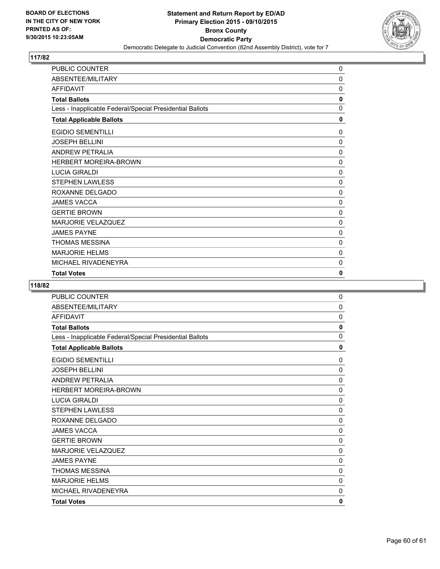

| PUBLIC COUNTER                                           | 0           |
|----------------------------------------------------------|-------------|
| ABSENTEE/MILITARY                                        | 0           |
| AFFIDAVIT                                                | 0           |
| <b>Total Ballots</b>                                     | 0           |
| Less - Inapplicable Federal/Special Presidential Ballots | $\mathbf 0$ |
| <b>Total Applicable Ballots</b>                          | 0           |
| <b>EGIDIO SEMENTILLI</b>                                 | 0           |
| <b>JOSEPH BELLINI</b>                                    | 0           |
| <b>ANDREW PETRALIA</b>                                   | 0           |
| <b>HERBERT MOREIRA-BROWN</b>                             | 0           |
| <b>LUCIA GIRALDI</b>                                     | 0           |
| <b>STEPHEN LAWLESS</b>                                   | 0           |
| ROXANNE DELGADO                                          | $\Omega$    |
| <b>JAMES VACCA</b>                                       | 0           |
| <b>GERTIE BROWN</b>                                      | 0           |
| MARJORIE VELAZQUEZ                                       | 0           |
| <b>JAMES PAYNE</b>                                       | 0           |
| <b>THOMAS MESSINA</b>                                    | 0           |
| <b>MARJORIE HELMS</b>                                    | 0           |
| MICHAEL RIVADENEYRA                                      | 0           |
| <b>Total Votes</b>                                       | 0           |

| <b>PUBLIC COUNTER</b>                                    | 0 |
|----------------------------------------------------------|---|
| ABSENTEE/MILITARY                                        | 0 |
| <b>AFFIDAVIT</b>                                         | 0 |
| <b>Total Ballots</b>                                     | 0 |
| Less - Inapplicable Federal/Special Presidential Ballots | 0 |
| <b>Total Applicable Ballots</b>                          | 0 |
| <b>EGIDIO SEMENTILLI</b>                                 | 0 |
| <b>JOSEPH BELLINI</b>                                    | 0 |
| <b>ANDREW PETRALIA</b>                                   | 0 |
| <b>HERBERT MOREIRA-BROWN</b>                             | 0 |
| <b>LUCIA GIRALDI</b>                                     | 0 |
| <b>STEPHEN LAWLESS</b>                                   | 0 |
| ROXANNE DELGADO                                          | 0 |
| <b>JAMES VACCA</b>                                       | 0 |
| <b>GERTIE BROWN</b>                                      | 0 |
| MARJORIE VELAZQUEZ                                       | 0 |
| <b>JAMES PAYNE</b>                                       | 0 |
| THOMAS MESSINA                                           | 0 |
| <b>MARJORIE HELMS</b>                                    | 0 |
| MICHAEL RIVADENEYRA                                      | 0 |
| <b>Total Votes</b>                                       | 0 |